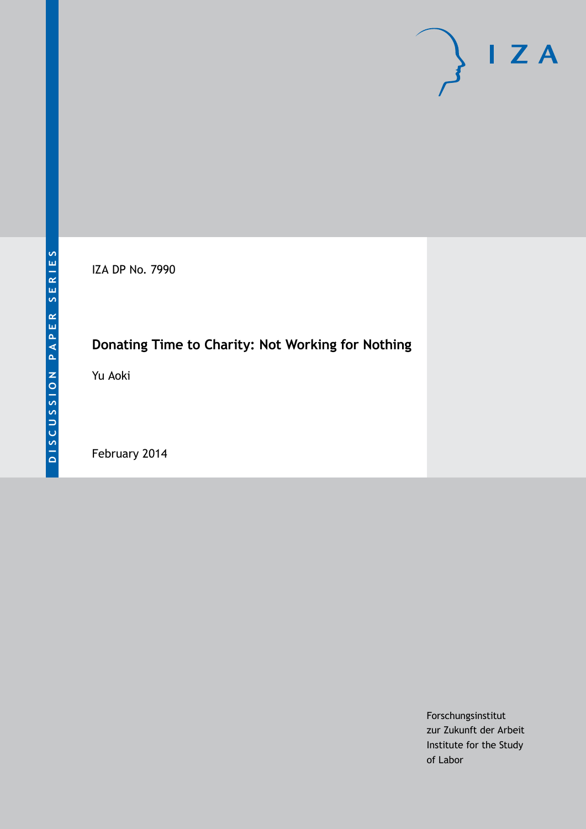IZA DP No. 7990

# **Donating Time to Charity: Not Working for Nothing**

Yu Aoki

February 2014

Forschungsinstitut zur Zukunft der Arbeit Institute for the Study of Labor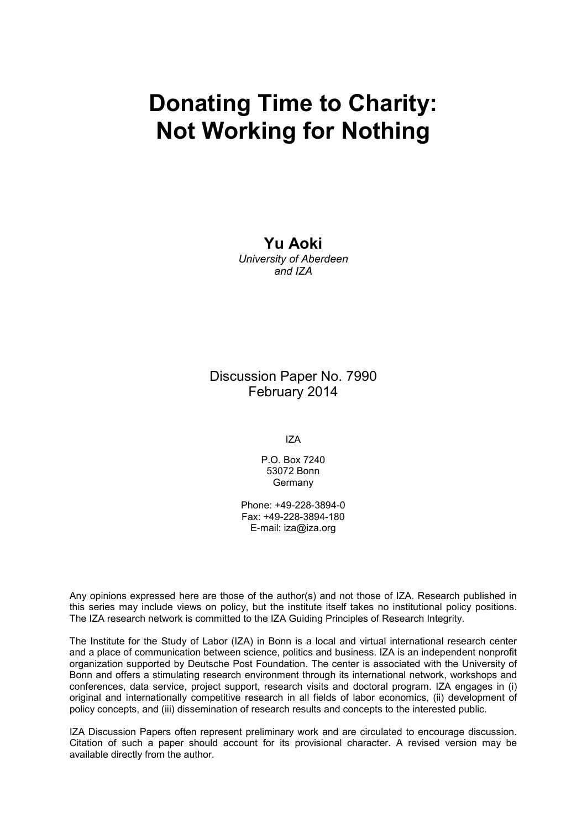# **Donating Time to Charity: Not Working for Nothing**

## **Yu Aoki**

*University of Aberdeen and IZA*

Discussion Paper No. 7990 February 2014

IZA

P.O. Box 7240 53072 Bonn Germany

Phone: +49-228-3894-0 Fax: +49-228-3894-180 E-mail: [iza@iza.org](mailto:iza@iza.org)

Any opinions expressed here are those of the author(s) and not those of IZA. Research published in this series may include views on policy, but the institute itself takes no institutional policy positions. The IZA research network is committed to the IZA Guiding Principles of Research Integrity.

The Institute for the Study of Labor (IZA) in Bonn is a local and virtual international research center and a place of communication between science, politics and business. IZA is an independent nonprofit organization supported by Deutsche Post Foundation. The center is associated with the University of Bonn and offers a stimulating research environment through its international network, workshops and conferences, data service, project support, research visits and doctoral program. IZA engages in (i) original and internationally competitive research in all fields of labor economics, (ii) development of policy concepts, and (iii) dissemination of research results and concepts to the interested public.

IZA Discussion Papers often represent preliminary work and are circulated to encourage discussion. Citation of such a paper should account for its provisional character. A revised version may be available directly from the author.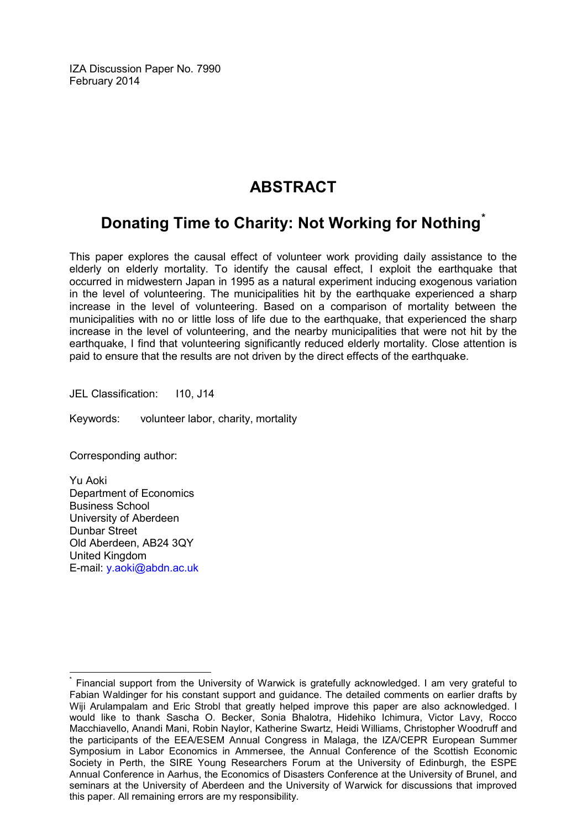IZA Discussion Paper No. 7990 February 2014

# **ABSTRACT**

# **Donating Time to Charity: Not Working for Nothing[\\*](#page-2-0)**

This paper explores the causal effect of volunteer work providing daily assistance to the elderly on elderly mortality. To identify the causal effect, I exploit the earthquake that occurred in midwestern Japan in 1995 as a natural experiment inducing exogenous variation in the level of volunteering. The municipalities hit by the earthquake experienced a sharp increase in the level of volunteering. Based on a comparison of mortality between the municipalities with no or little loss of life due to the earthquake, that experienced the sharp increase in the level of volunteering, and the nearby municipalities that were not hit by the earthquake, I find that volunteering significantly reduced elderly mortality. Close attention is paid to ensure that the results are not driven by the direct effects of the earthquake.

JEL Classification: I10, J14

Keywords: volunteer labor, charity, mortality

Corresponding author:

Yu Aoki Department of Economics Business School University of Aberdeen Dunbar Street Old Aberdeen, AB24 3QY United Kingdom E-mail: [y.aoki@abdn.ac.uk](mailto:y.aoki@abdn.ac.uk)

<span id="page-2-0"></span>Financial support from the University of Warwick is gratefully acknowledged. I am very grateful to Fabian Waldinger for his constant support and guidance. The detailed comments on earlier drafts by Wiji Arulampalam and Eric Strobl that greatly helped improve this paper are also acknowledged. I would like to thank Sascha O. Becker, Sonia Bhalotra, Hidehiko Ichimura, Victor Lavy, Rocco Macchiavello, Anandi Mani, Robin Naylor, Katherine Swartz, Heidi Williams, Christopher Woodruff and the participants of the EEA/ESEM Annual Congress in Malaga, the IZA/CEPR European Summer Symposium in Labor Economics in Ammersee, the Annual Conference of the Scottish Economic Society in Perth, the SIRE Young Researchers Forum at the University of Edinburgh, the ESPE Annual Conference in Aarhus, the Economics of Disasters Conference at the University of Brunel, and seminars at the University of Aberdeen and the University of Warwick for discussions that improved this paper. All remaining errors are my responsibility.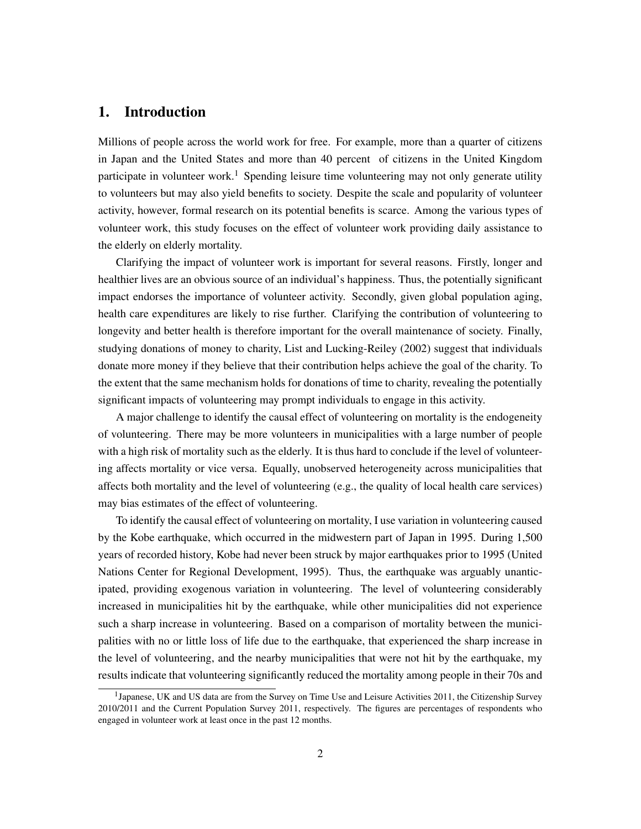### 1. Introduction

Millions of people across the world work for free. For example, more than a quarter of citizens in Japan and the United States and more than 40 percent of citizens in the United Kingdom participate in volunteer work.<sup>1</sup> Spending leisure time volunteering may not only generate utility to volunteers but may also yield benefits to society. Despite the scale and popularity of volunteer activity, however, formal research on its potential benefits is scarce. Among the various types of volunteer work, this study focuses on the effect of volunteer work providing daily assistance to the elderly on elderly mortality.

Clarifying the impact of volunteer work is important for several reasons. Firstly, longer and healthier lives are an obvious source of an individual's happiness. Thus, the potentially significant impact endorses the importance of volunteer activity. Secondly, given global population aging, health care expenditures are likely to rise further. Clarifying the contribution of volunteering to longevity and better health is therefore important for the overall maintenance of society. Finally, studying donations of money to charity, List and Lucking-Reiley (2002) suggest that individuals donate more money if they believe that their contribution helps achieve the goal of the charity. To the extent that the same mechanism holds for donations of time to charity, revealing the potentially significant impacts of volunteering may prompt individuals to engage in this activity.

A major challenge to identify the causal effect of volunteering on mortality is the endogeneity of volunteering. There may be more volunteers in municipalities with a large number of people with a high risk of mortality such as the elderly. It is thus hard to conclude if the level of volunteering affects mortality or vice versa. Equally, unobserved heterogeneity across municipalities that affects both mortality and the level of volunteering (e.g., the quality of local health care services) may bias estimates of the effect of volunteering.

To identify the causal effect of volunteering on mortality, I use variation in volunteering caused by the Kobe earthquake, which occurred in the midwestern part of Japan in 1995. During 1,500 years of recorded history, Kobe had never been struck by major earthquakes prior to 1995 (United Nations Center for Regional Development, 1995). Thus, the earthquake was arguably unanticipated, providing exogenous variation in volunteering. The level of volunteering considerably increased in municipalities hit by the earthquake, while other municipalities did not experience such a sharp increase in volunteering. Based on a comparison of mortality between the municipalities with no or little loss of life due to the earthquake, that experienced the sharp increase in the level of volunteering, and the nearby municipalities that were not hit by the earthquake, my results indicate that volunteering significantly reduced the mortality among people in their 70s and

<sup>&</sup>lt;sup>1</sup>Japanese, UK and US data are from the Survey on Time Use and Leisure Activities 2011, the Citizenship Survey 2010/2011 and the Current Population Survey 2011, respectively. The figures are percentages of respondents who engaged in volunteer work at least once in the past 12 months.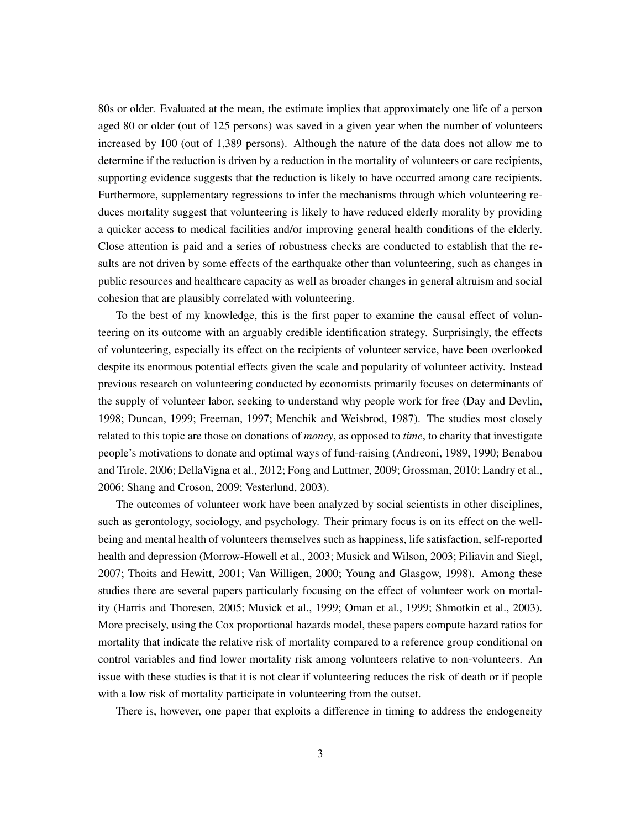80s or older. Evaluated at the mean, the estimate implies that approximately one life of a person aged 80 or older (out of 125 persons) was saved in a given year when the number of volunteers increased by 100 (out of 1,389 persons). Although the nature of the data does not allow me to determine if the reduction is driven by a reduction in the mortality of volunteers or care recipients, supporting evidence suggests that the reduction is likely to have occurred among care recipients. Furthermore, supplementary regressions to infer the mechanisms through which volunteering reduces mortality suggest that volunteering is likely to have reduced elderly morality by providing a quicker access to medical facilities and/or improving general health conditions of the elderly. Close attention is paid and a series of robustness checks are conducted to establish that the results are not driven by some effects of the earthquake other than volunteering, such as changes in public resources and healthcare capacity as well as broader changes in general altruism and social cohesion that are plausibly correlated with volunteering.

To the best of my knowledge, this is the first paper to examine the causal effect of volunteering on its outcome with an arguably credible identification strategy. Surprisingly, the effects of volunteering, especially its effect on the recipients of volunteer service, have been overlooked despite its enormous potential effects given the scale and popularity of volunteer activity. Instead previous research on volunteering conducted by economists primarily focuses on determinants of the supply of volunteer labor, seeking to understand why people work for free (Day and Devlin, 1998; Duncan, 1999; Freeman, 1997; Menchik and Weisbrod, 1987). The studies most closely related to this topic are those on donations of *money*, as opposed to *time*, to charity that investigate people's motivations to donate and optimal ways of fund-raising (Andreoni, 1989, 1990; Benabou and Tirole, 2006; DellaVigna et al., 2012; Fong and Luttmer, 2009; Grossman, 2010; Landry et al., 2006; Shang and Croson, 2009; Vesterlund, 2003).

The outcomes of volunteer work have been analyzed by social scientists in other disciplines, such as gerontology, sociology, and psychology. Their primary focus is on its effect on the wellbeing and mental health of volunteers themselves such as happiness, life satisfaction, self-reported health and depression (Morrow-Howell et al., 2003; Musick and Wilson, 2003; Piliavin and Siegl, 2007; Thoits and Hewitt, 2001; Van Willigen, 2000; Young and Glasgow, 1998). Among these studies there are several papers particularly focusing on the effect of volunteer work on mortality (Harris and Thoresen, 2005; Musick et al., 1999; Oman et al., 1999; Shmotkin et al., 2003). More precisely, using the Cox proportional hazards model, these papers compute hazard ratios for mortality that indicate the relative risk of mortality compared to a reference group conditional on control variables and find lower mortality risk among volunteers relative to non-volunteers. An issue with these studies is that it is not clear if volunteering reduces the risk of death or if people with a low risk of mortality participate in volunteering from the outset.

There is, however, one paper that exploits a difference in timing to address the endogeneity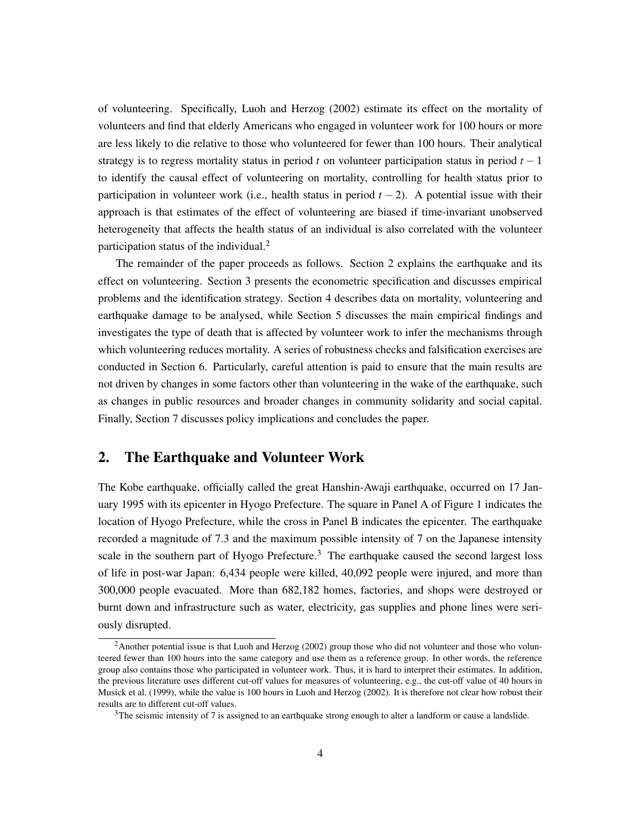of volunteering. Specifically, Luoh and Herzog (2002) estimate its effect on the mortality of volunteers and find that elderly Americans who engaged in volunteer work for 100 hours or more are less likely to die relative to those who volunteered for fewer than 100 hours. Their analytical strategy is to regress mortality status in period  $t$  on volunteer participation status in period  $t - 1$ to identify the causal effect of volunteering on mortality, controlling for health status prior to participation in volunteer work (i.e., health status in period  $t - 2$ ). A potential issue with their approach is that estimates of the effect of volunteering are biased if time-invariant unobserved heterogeneity that affects the health status of an individual is also correlated with the volunteer participation status of the individual. $<sup>2</sup>$ </sup>

The remainder of the paper proceeds as follows. Section 2 explains the earthquake and its effect on volunteering. Section 3 presents the econometric specification and discusses empirical problems and the identification strategy. Section 4 describes data on mortality, volunteering and earthquake damage to be analysed, while Section 5 discusses the main empirical findings and investigates the type of death that is affected by volunteer work to infer the mechanisms through which volunteering reduces mortality. A series of robustness checks and falsification exercises are conducted in Section 6. Particularly, careful attention is paid to ensure that the main results are not driven by changes in some factors other than volunteering in the wake of the earthquake, such as changes in public resources and broader changes in community solidarity and social capital. Finally, Section 7 discusses policy implications and concludes the paper.

#### 2. The Earthquake and Volunteer Work

The Kobe earthquake, officially called the great Hanshin-Awaji earthquake, occurred on 17 January 1995 with its epicenter in Hyogo Prefecture. The square in Panel A of Figure 1 indicates the location of Hyogo Prefecture, while the cross in Panel B indicates the epicenter. The earthquake recorded a magnitude of 7.3 and the maximum possible intensity of 7 on the Japanese intensity scale in the southern part of Hyogo Prefecture.<sup>3</sup> The earthquake caused the second largest loss of life in post-war Japan: 6,434 people were killed, 40,092 people were injured, and more than 300,000 people evacuated. More than 682,182 homes, factories, and shops were destroyed or burnt down and infrastructure such as water, electricity, gas supplies and phone lines were seriously disrupted.

<sup>&</sup>lt;sup>2</sup>Another potential issue is that Luoh and Herzog (2002) group those who did not volunteer and those who volunteered fewer than 100 hours into the same category and use them as a reference group. In other words, the reference group also contains those who participated in volunteer work. Thus, it is hard to interpret their estimates. In addition, the previous literature uses different cut-off values for measures of volunteering, e.g., the cut-off value of 40 hours in Musick et al. (1999), while the value is 100 hours in Luoh and Herzog (2002). It is therefore not clear how robust their results are to different cut-off values.

 $3$ The seismic intensity of 7 is assigned to an earthquake strong enough to alter a landform or cause a landslide.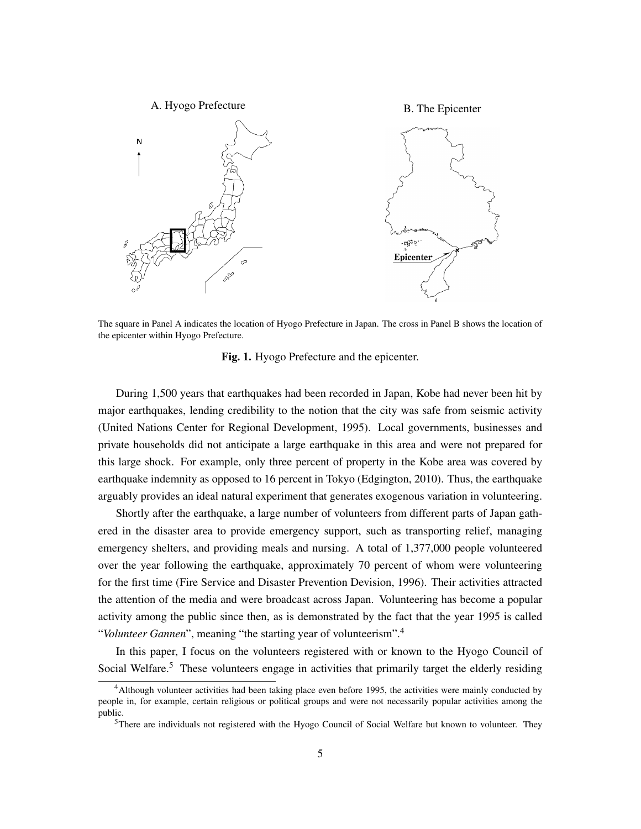

The square in Panel A indicates the location of Hyogo Prefecture in Japan. The cross in Panel B shows the location of the epicenter within Hyogo Prefecture.

Fig. 1. Hyogo Prefecture and the epicenter.

During 1,500 years that earthquakes had been recorded in Japan, Kobe had never been hit by major earthquakes, lending credibility to the notion that the city was safe from seismic activity (United Nations Center for Regional Development, 1995). Local governments, businesses and private households did not anticipate a large earthquake in this area and were not prepared for this large shock. For example, only three percent of property in the Kobe area was covered by earthquake indemnity as opposed to 16 percent in Tokyo (Edgington, 2010). Thus, the earthquake arguably provides an ideal natural experiment that generates exogenous variation in volunteering.

Shortly after the earthquake, a large number of volunteers from different parts of Japan gathered in the disaster area to provide emergency support, such as transporting relief, managing emergency shelters, and providing meals and nursing. A total of 1,377,000 people volunteered over the year following the earthquake, approximately 70 percent of whom were volunteering for the first time (Fire Service and Disaster Prevention Devision, 1996). Their activities attracted the attention of the media and were broadcast across Japan. Volunteering has become a popular activity among the public since then, as is demonstrated by the fact that the year 1995 is called "*Volunteer Gannen*", meaning "the starting year of volunteerism".<sup>4</sup>

In this paper, I focus on the volunteers registered with or known to the Hyogo Council of Social Welfare.<sup>5</sup> These volunteers engage in activities that primarily target the elderly residing

<sup>4</sup>Although volunteer activities had been taking place even before 1995, the activities were mainly conducted by people in, for example, certain religious or political groups and were not necessarily popular activities among the public.

<sup>&</sup>lt;sup>5</sup>There are individuals not registered with the Hyogo Council of Social Welfare but known to volunteer. They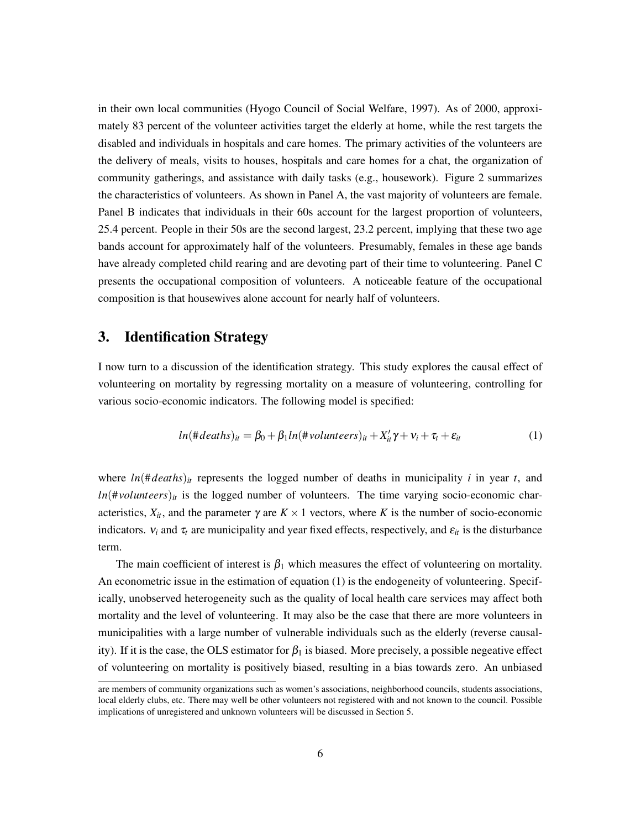in their own local communities (Hyogo Council of Social Welfare, 1997). As of 2000, approximately 83 percent of the volunteer activities target the elderly at home, while the rest targets the disabled and individuals in hospitals and care homes. The primary activities of the volunteers are the delivery of meals, visits to houses, hospitals and care homes for a chat, the organization of community gatherings, and assistance with daily tasks (e.g., housework). Figure 2 summarizes the characteristics of volunteers. As shown in Panel A, the vast majority of volunteers are female. Panel B indicates that individuals in their 60s account for the largest proportion of volunteers, 25.4 percent. People in their 50s are the second largest, 23.2 percent, implying that these two age bands account for approximately half of the volunteers. Presumably, females in these age bands have already completed child rearing and are devoting part of their time to volunteering. Panel C presents the occupational composition of volunteers. A noticeable feature of the occupational composition is that housewives alone account for nearly half of volunteers.

#### 3. Identification Strategy

I now turn to a discussion of the identification strategy. This study explores the causal effect of volunteering on mortality by regressing mortality on a measure of volunteering, controlling for various socio-economic indicators. The following model is specified:

$$
ln(\#deaths)_{it} = \beta_0 + \beta_1 ln(\#volumteers)_{it} + X'_{it} \gamma + v_i + \tau_t + \varepsilon_{it}
$$
 (1)

where  $ln(\text{#deaths})$ <sub>it</sub> represents the logged number of deaths in municipality *i* in year *t*, and  $ln(\text{\#}volunteers)_{it}$  is the logged number of volunteers. The time varying socio-economic characteristics,  $X_{it}$ , and the parameter  $\gamma$  are  $K \times 1$  vectors, where *K* is the number of socio-economic indicators.  $v_i$  and  $\tau_t$  are municipality and year fixed effects, respectively, and  $\varepsilon_{it}$  is the disturbance term.

The main coefficient of interest is  $\beta_1$  which measures the effect of volunteering on mortality. An econometric issue in the estimation of equation (1) is the endogeneity of volunteering. Specifically, unobserved heterogeneity such as the quality of local health care services may affect both mortality and the level of volunteering. It may also be the case that there are more volunteers in municipalities with a large number of vulnerable individuals such as the elderly (reverse causality). If it is the case, the OLS estimator for  $\beta_1$  is biased. More precisely, a possible negeative effect of volunteering on mortality is positively biased, resulting in a bias towards zero. An unbiased

are members of community organizations such as women's associations, neighborhood councils, students associations, local elderly clubs, etc. There may well be other volunteers not registered with and not known to the council. Possible implications of unregistered and unknown volunteers will be discussed in Section 5.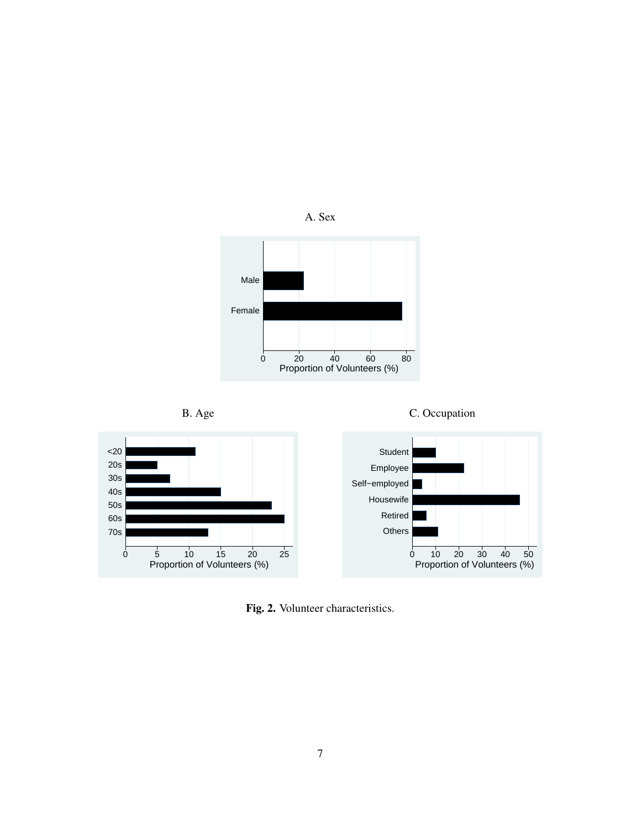

Fig. 2. Volunteer characteristics.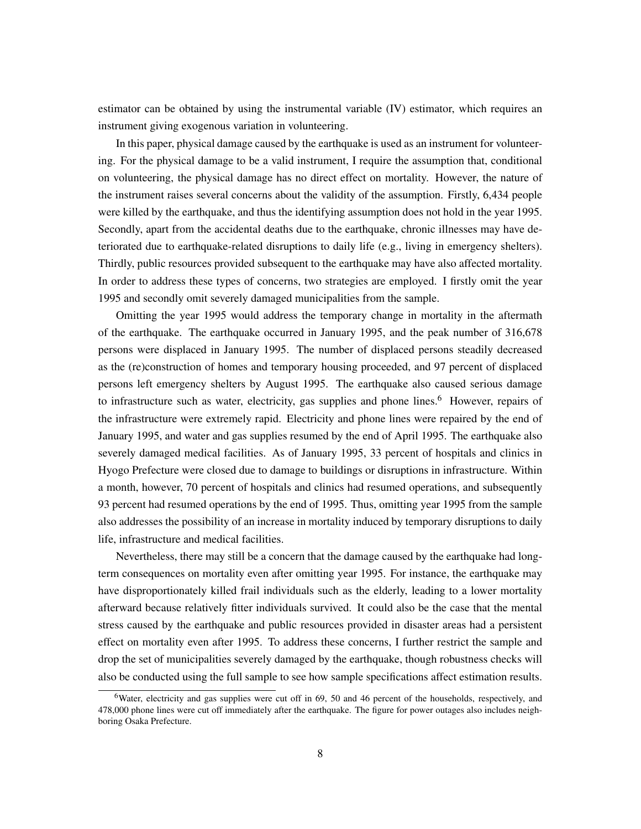estimator can be obtained by using the instrumental variable (IV) estimator, which requires an instrument giving exogenous variation in volunteering.

In this paper, physical damage caused by the earthquake is used as an instrument for volunteering. For the physical damage to be a valid instrument, I require the assumption that, conditional on volunteering, the physical damage has no direct effect on mortality. However, the nature of the instrument raises several concerns about the validity of the assumption. Firstly, 6,434 people were killed by the earthquake, and thus the identifying assumption does not hold in the year 1995. Secondly, apart from the accidental deaths due to the earthquake, chronic illnesses may have deteriorated due to earthquake-related disruptions to daily life (e.g., living in emergency shelters). Thirdly, public resources provided subsequent to the earthquake may have also affected mortality. In order to address these types of concerns, two strategies are employed. I firstly omit the year 1995 and secondly omit severely damaged municipalities from the sample.

Omitting the year 1995 would address the temporary change in mortality in the aftermath of the earthquake. The earthquake occurred in January 1995, and the peak number of 316,678 persons were displaced in January 1995. The number of displaced persons steadily decreased as the (re)construction of homes and temporary housing proceeded, and 97 percent of displaced persons left emergency shelters by August 1995. The earthquake also caused serious damage to infrastructure such as water, electricity, gas supplies and phone lines.<sup>6</sup> However, repairs of the infrastructure were extremely rapid. Electricity and phone lines were repaired by the end of January 1995, and water and gas supplies resumed by the end of April 1995. The earthquake also severely damaged medical facilities. As of January 1995, 33 percent of hospitals and clinics in Hyogo Prefecture were closed due to damage to buildings or disruptions in infrastructure. Within a month, however, 70 percent of hospitals and clinics had resumed operations, and subsequently 93 percent had resumed operations by the end of 1995. Thus, omitting year 1995 from the sample also addresses the possibility of an increase in mortality induced by temporary disruptions to daily life, infrastructure and medical facilities.

Nevertheless, there may still be a concern that the damage caused by the earthquake had longterm consequences on mortality even after omitting year 1995. For instance, the earthquake may have disproportionately killed frail individuals such as the elderly, leading to a lower mortality afterward because relatively fitter individuals survived. It could also be the case that the mental stress caused by the earthquake and public resources provided in disaster areas had a persistent effect on mortality even after 1995. To address these concerns, I further restrict the sample and drop the set of municipalities severely damaged by the earthquake, though robustness checks will also be conducted using the full sample to see how sample specifications affect estimation results.

<sup>&</sup>lt;sup>6</sup>Water, electricity and gas supplies were cut off in 69, 50 and 46 percent of the households, respectively, and 478,000 phone lines were cut off immediately after the earthquake. The figure for power outages also includes neighboring Osaka Prefecture.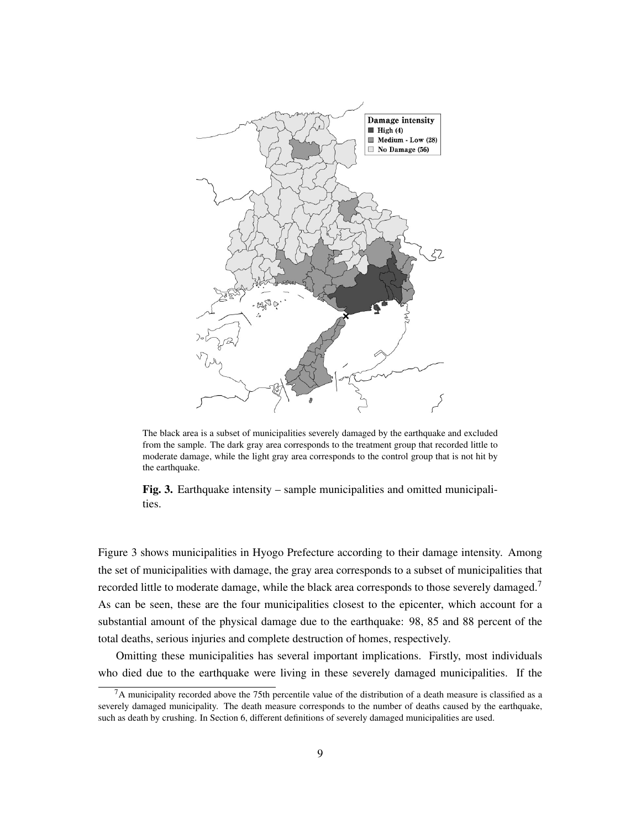

The black area is a subset of municipalities severely damaged by the earthquake and excluded from the sample. The dark gray area corresponds to the treatment group that recorded little to moderate damage, while the light gray area corresponds to the control group that is not hit by the earthquake.

Fig. 3. Earthquake intensity – sample municipalities and omitted municipalities.

Figure 3 shows municipalities in Hyogo Prefecture according to their damage intensity. Among the set of municipalities with damage, the gray area corresponds to a subset of municipalities that recorded little to moderate damage, while the black area corresponds to those severely damaged.<sup>7</sup> As can be seen, these are the four municipalities closest to the epicenter, which account for a substantial amount of the physical damage due to the earthquake: 98, 85 and 88 percent of the total deaths, serious injuries and complete destruction of homes, respectively.

Omitting these municipalities has several important implications. Firstly, most individuals who died due to the earthquake were living in these severely damaged municipalities. If the

 $7A$  municipality recorded above the 75th percentile value of the distribution of a death measure is classified as a severely damaged municipality. The death measure corresponds to the number of deaths caused by the earthquake, such as death by crushing. In Section 6, different definitions of severely damaged municipalities are used.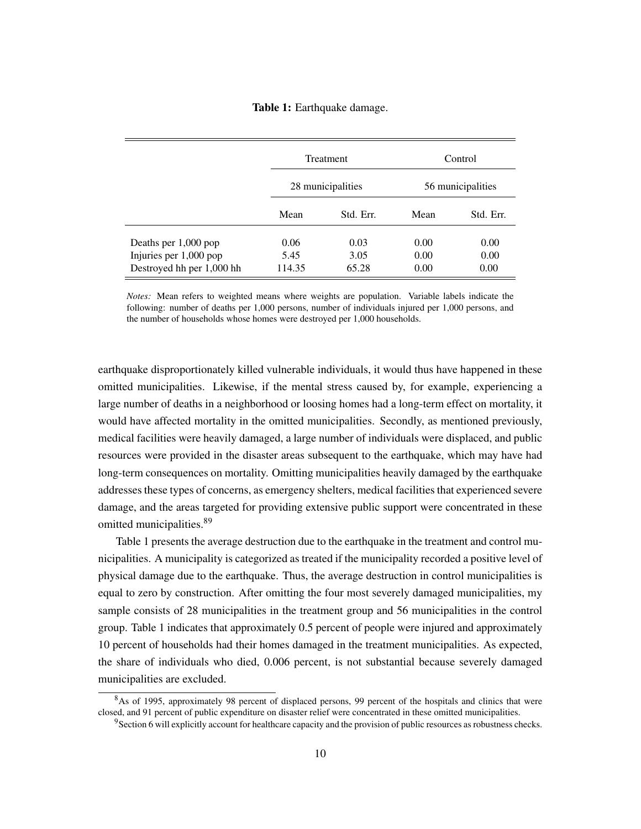#### Table 1: Earthquake damage.

|                           |                   | Treatment |                   | Control   |
|---------------------------|-------------------|-----------|-------------------|-----------|
|                           | 28 municipalities |           | 56 municipalities |           |
|                           | Mean              | Std. Err. | Mean              | Std. Err. |
| Deaths per 1,000 pop      | 0.06              | 0.03      | 0.00              | 0.00      |
| Injuries per 1,000 pop    | 5.45              | 3.05      | 0.00              | 0.00      |
| Destroyed hh per 1,000 hh | 114.35            | 65.28     | 0.00              | 0.00      |

*Notes:* Mean refers to weighted means where weights are population. Variable labels indicate the following: number of deaths per 1,000 persons, number of individuals injured per 1,000 persons, and the number of households whose homes were destroyed per 1,000 households.

earthquake disproportionately killed vulnerable individuals, it would thus have happened in these omitted municipalities. Likewise, if the mental stress caused by, for example, experiencing a large number of deaths in a neighborhood or loosing homes had a long-term effect on mortality, it would have affected mortality in the omitted municipalities. Secondly, as mentioned previously, medical facilities were heavily damaged, a large number of individuals were displaced, and public resources were provided in the disaster areas subsequent to the earthquake, which may have had long-term consequences on mortality. Omitting municipalities heavily damaged by the earthquake addresses these types of concerns, as emergency shelters, medical facilities that experienced severe damage, and the areas targeted for providing extensive public support were concentrated in these omitted municipalities.<sup>89</sup>

Table 1 presents the average destruction due to the earthquake in the treatment and control municipalities. A municipality is categorized as treated if the municipality recorded a positive level of physical damage due to the earthquake. Thus, the average destruction in control municipalities is equal to zero by construction. After omitting the four most severely damaged municipalities, my sample consists of 28 municipalities in the treatment group and 56 municipalities in the control group. Table 1 indicates that approximately 0.5 percent of people were injured and approximately 10 percent of households had their homes damaged in the treatment municipalities. As expected, the share of individuals who died, 0.006 percent, is not substantial because severely damaged municipalities are excluded.

<sup>8</sup>As of 1995, approximately 98 percent of displaced persons, 99 percent of the hospitals and clinics that were closed, and 91 percent of public expenditure on disaster relief were concentrated in these omitted municipalities.

<sup>&</sup>lt;sup>9</sup>Section 6 will explicitly account for healthcare capacity and the provision of public resources as robustness checks.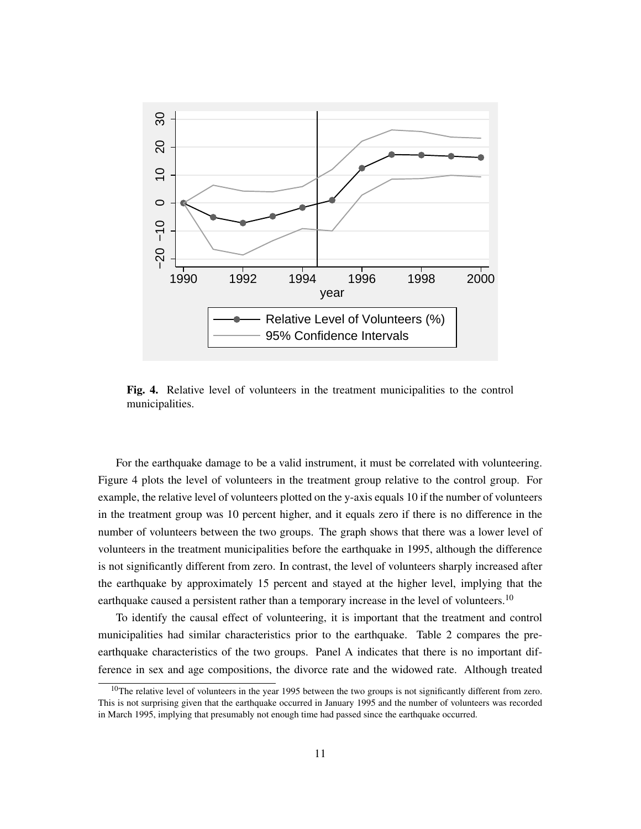

Fig. 4. Relative level of volunteers in the treatment municipalities to the control municipalities.

For the earthquake damage to be a valid instrument, it must be correlated with volunteering. Figure 4 plots the level of volunteers in the treatment group relative to the control group. For example, the relative level of volunteers plotted on the y-axis equals 10 if the number of volunteers in the treatment group was 10 percent higher, and it equals zero if there is no difference in the number of volunteers between the two groups. The graph shows that there was a lower level of volunteers in the treatment municipalities before the earthquake in 1995, although the difference is not significantly different from zero. In contrast, the level of volunteers sharply increased after the earthquake by approximately 15 percent and stayed at the higher level, implying that the earthquake caused a persistent rather than a temporary increase in the level of volunteers.<sup>10</sup>

To identify the causal effect of volunteering, it is important that the treatment and control municipalities had similar characteristics prior to the earthquake. Table 2 compares the preearthquake characteristics of the two groups. Panel A indicates that there is no important difference in sex and age compositions, the divorce rate and the widowed rate. Although treated

<sup>&</sup>lt;sup>10</sup>The relative level of volunteers in the year 1995 between the two groups is not significantly different from zero. This is not surprising given that the earthquake occurred in January 1995 and the number of volunteers was recorded in March 1995, implying that presumably not enough time had passed since the earthquake occurred.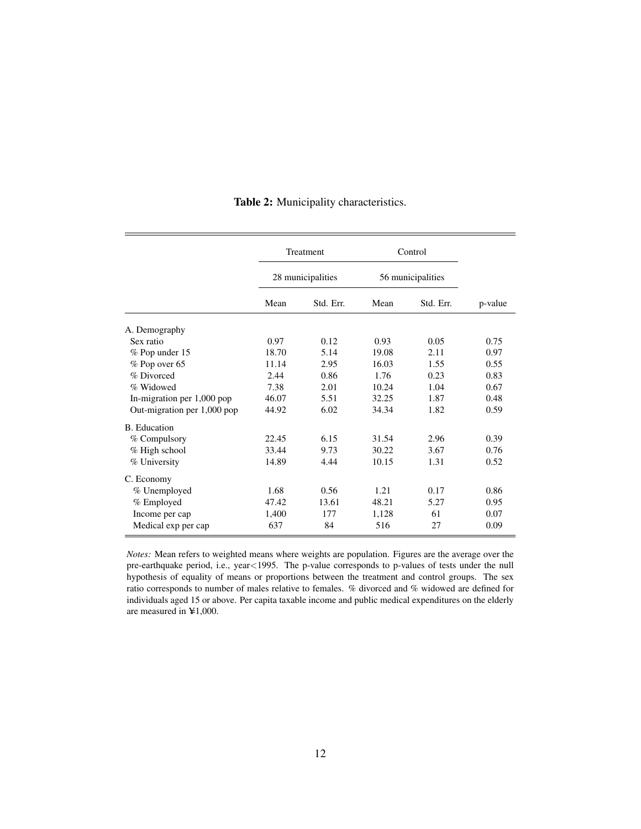|                             | Treatment |                   | Control           |           |         |  |
|-----------------------------|-----------|-------------------|-------------------|-----------|---------|--|
|                             |           | 28 municipalities | 56 municipalities |           |         |  |
|                             | Mean      | Std. Err.         | Mean              | Std. Err. | p-value |  |
| A. Demography               |           |                   |                   |           |         |  |
| Sex ratio                   | 0.97      | 0.12              | 0.93              | 0.05      | 0.75    |  |
| % Pop under 15              | 18.70     | 5.14              | 19.08             | 2.11      | 0.97    |  |
| % Pop over 65               | 11.14     | 2.95              | 16.03             | 1.55      | 0.55    |  |
| % Divorced                  | 2.44      | 0.86              | 1.76              | 0.23      | 0.83    |  |
| % Widowed                   | 7.38      | 2.01              | 10.24             | 1.04      | 0.67    |  |
| In-migration per 1,000 pop  | 46.07     | 5.51              | 32.25             | 1.87      | 0.48    |  |
| Out-migration per 1,000 pop | 44.92     | 6.02              | 34.34             | 1.82      | 0.59    |  |
| B. Education                |           |                   |                   |           |         |  |
| % Compulsory                | 22.45     | 6.15              | 31.54             | 2.96      | 0.39    |  |
| $%$ High school             | 33.44     | 9.73              | 30.22             | 3.67      | 0.76    |  |
| % University                | 14.89     | 4.44              | 10.15             | 1.31      | 0.52    |  |
| C. Economy                  |           |                   |                   |           |         |  |
| % Unemployed                | 1.68      | 0.56              | 1.21              | 0.17      | 0.86    |  |
| % Employed                  | 47.42     | 13.61             | 48.21             | 5.27      | 0.95    |  |
| Income per cap              | 1,400     | 177               | 1,128             | 61        | 0.07    |  |
| Medical exp per cap         | 637       | 84                | 516               | 27        | 0.09    |  |

#### Table 2: Municipality characteristics.

*Notes:* Mean refers to weighted means where weights are population. Figures are the average over the pre-earthquake period, i.e., year<1995. The p-value corresponds to p-values of tests under the null hypothesis of equality of means or proportions between the treatment and control groups. The sex ratio corresponds to number of males relative to females. % divorced and % widowed are defined for individuals aged 15 or above. Per capita taxable income and public medical expenditures on the elderly are measured in  $\yen$ 1,000.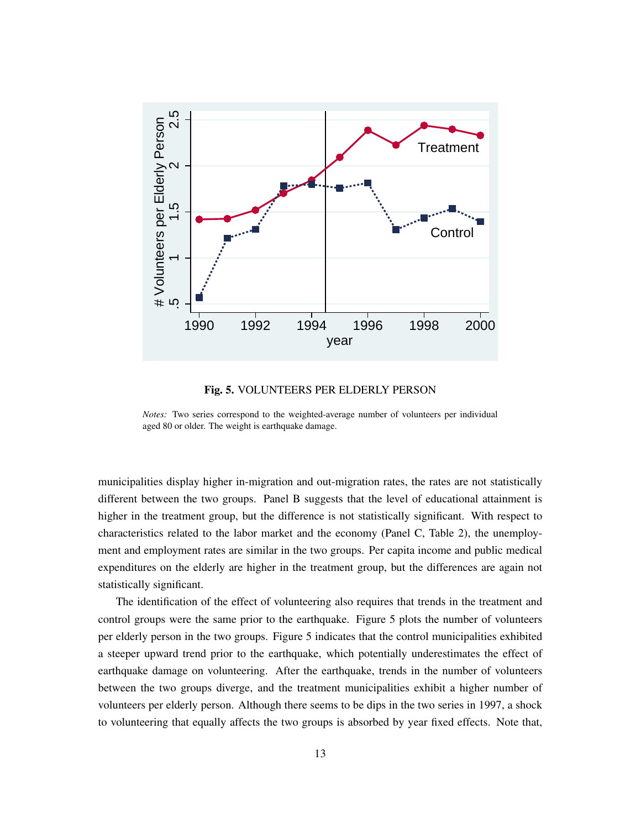

Fig. 5. VOLUNTEERS PER ELDERLY PERSON

*Notes:* Two series correspond to the weighted-average number of volunteers per individual aged 80 or older. The weight is earthquake damage.

municipalities display higher in-migration and out-migration rates, the rates are not statistically different between the two groups. Panel B suggests that the level of educational attainment is higher in the treatment group, but the difference is not statistically significant. With respect to characteristics related to the labor market and the economy (Panel C, Table 2), the unemployment and employment rates are similar in the two groups. Per capita income and public medical expenditures on the elderly are higher in the treatment group, but the differences are again not statistically significant.

The identification of the effect of volunteering also requires that trends in the treatment and control groups were the same prior to the earthquake. Figure 5 plots the number of volunteers per elderly person in the two groups. Figure 5 indicates that the control municipalities exhibited a steeper upward trend prior to the earthquake, which potentially underestimates the effect of earthquake damage on volunteering. After the earthquake, trends in the number of volunteers between the two groups diverge, and the treatment municipalities exhibit a higher number of volunteers per elderly person. Although there seems to be dips in the two series in 1997, a shock to volunteering that equally affects the two groups is absorbed by year fixed effects. Note that,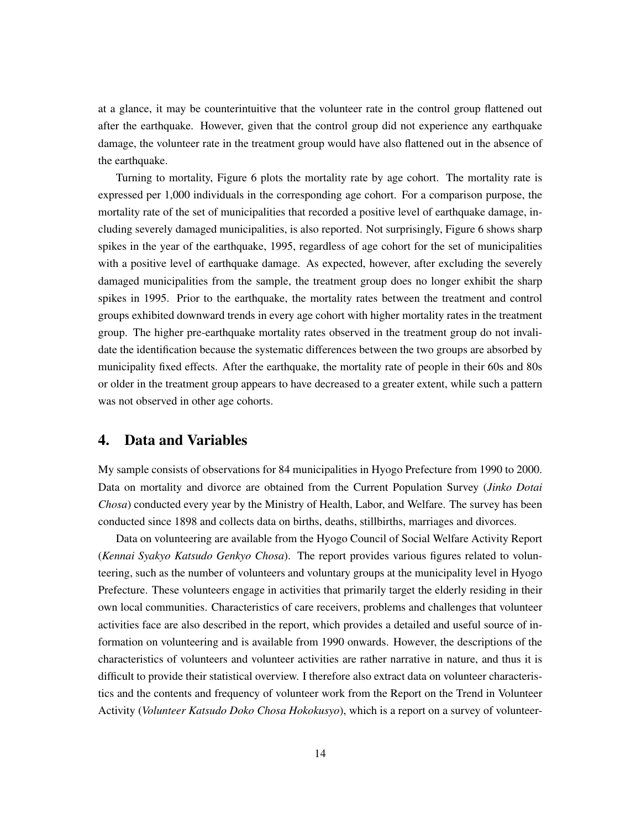at a glance, it may be counterintuitive that the volunteer rate in the control group flattened out after the earthquake. However, given that the control group did not experience any earthquake damage, the volunteer rate in the treatment group would have also flattened out in the absence of the earthquake.

Turning to mortality, Figure 6 plots the mortality rate by age cohort. The mortality rate is expressed per 1,000 individuals in the corresponding age cohort. For a comparison purpose, the mortality rate of the set of municipalities that recorded a positive level of earthquake damage, including severely damaged municipalities, is also reported. Not surprisingly, Figure 6 shows sharp spikes in the year of the earthquake, 1995, regardless of age cohort for the set of municipalities with a positive level of earthquake damage. As expected, however, after excluding the severely damaged municipalities from the sample, the treatment group does no longer exhibit the sharp spikes in 1995. Prior to the earthquake, the mortality rates between the treatment and control groups exhibited downward trends in every age cohort with higher mortality rates in the treatment group. The higher pre-earthquake mortality rates observed in the treatment group do not invalidate the identification because the systematic differences between the two groups are absorbed by municipality fixed effects. After the earthquake, the mortality rate of people in their 60s and 80s or older in the treatment group appears to have decreased to a greater extent, while such a pattern was not observed in other age cohorts.

#### 4. Data and Variables

My sample consists of observations for 84 municipalities in Hyogo Prefecture from 1990 to 2000. Data on mortality and divorce are obtained from the Current Population Survey (*Jinko Dotai Chosa*) conducted every year by the Ministry of Health, Labor, and Welfare. The survey has been conducted since 1898 and collects data on births, deaths, stillbirths, marriages and divorces.

Data on volunteering are available from the Hyogo Council of Social Welfare Activity Report (*Kennai Syakyo Katsudo Genkyo Chosa*). The report provides various figures related to volunteering, such as the number of volunteers and voluntary groups at the municipality level in Hyogo Prefecture. These volunteers engage in activities that primarily target the elderly residing in their own local communities. Characteristics of care receivers, problems and challenges that volunteer activities face are also described in the report, which provides a detailed and useful source of information on volunteering and is available from 1990 onwards. However, the descriptions of the characteristics of volunteers and volunteer activities are rather narrative in nature, and thus it is difficult to provide their statistical overview. I therefore also extract data on volunteer characteristics and the contents and frequency of volunteer work from the Report on the Trend in Volunteer Activity (*Volunteer Katsudo Doko Chosa Hokokusyo*), which is a report on a survey of volunteer-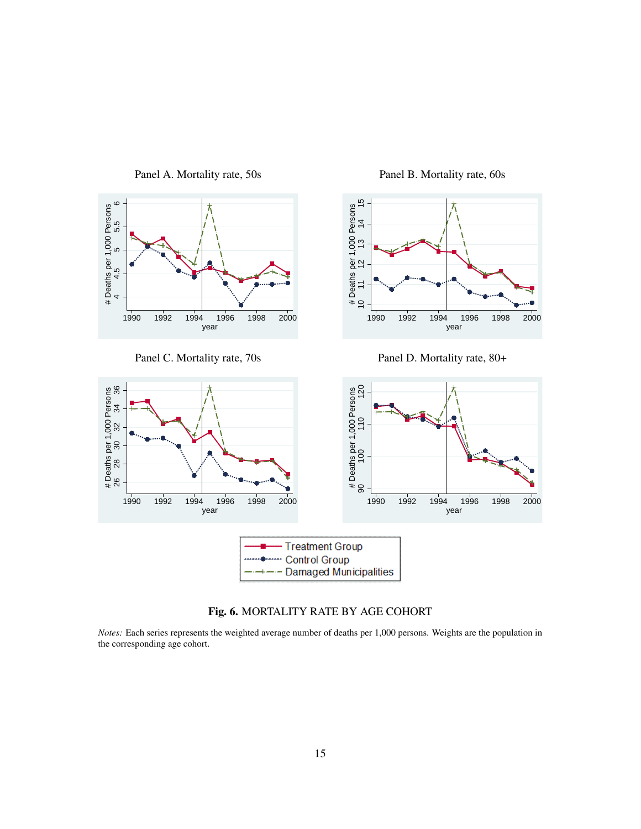

Panel C. Mortality rate, 70s

Panel A. Mortality rate, 50s

Panel B. Mortality rate, 60s



Panel D. Mortality rate, 80+



Fig. 6. MORTALITY RATE BY AGE COHORT

*Notes:* Each series represents the weighted average number of deaths per 1,000 persons. Weights are the population in the corresponding age cohort.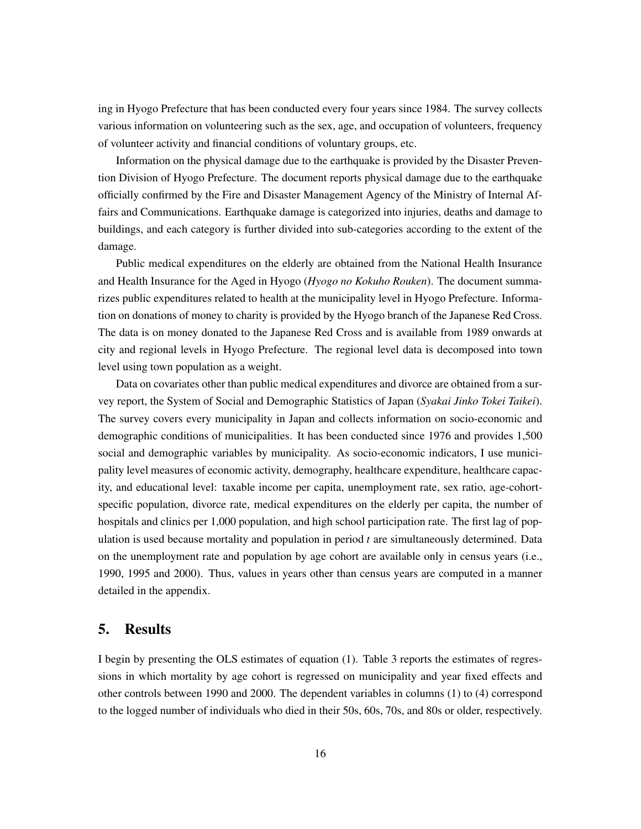ing in Hyogo Prefecture that has been conducted every four years since 1984. The survey collects various information on volunteering such as the sex, age, and occupation of volunteers, frequency of volunteer activity and financial conditions of voluntary groups, etc.

Information on the physical damage due to the earthquake is provided by the Disaster Prevention Division of Hyogo Prefecture. The document reports physical damage due to the earthquake officially confirmed by the Fire and Disaster Management Agency of the Ministry of Internal Affairs and Communications. Earthquake damage is categorized into injuries, deaths and damage to buildings, and each category is further divided into sub-categories according to the extent of the damage.

Public medical expenditures on the elderly are obtained from the National Health Insurance and Health Insurance for the Aged in Hyogo (*Hyogo no Kokuho Rouken*). The document summarizes public expenditures related to health at the municipality level in Hyogo Prefecture. Information on donations of money to charity is provided by the Hyogo branch of the Japanese Red Cross. The data is on money donated to the Japanese Red Cross and is available from 1989 onwards at city and regional levels in Hyogo Prefecture. The regional level data is decomposed into town level using town population as a weight.

Data on covariates other than public medical expenditures and divorce are obtained from a survey report, the System of Social and Demographic Statistics of Japan (*Syakai Jinko Tokei Taikei*). The survey covers every municipality in Japan and collects information on socio-economic and demographic conditions of municipalities. It has been conducted since 1976 and provides 1,500 social and demographic variables by municipality. As socio-economic indicators, I use municipality level measures of economic activity, demography, healthcare expenditure, healthcare capacity, and educational level: taxable income per capita, unemployment rate, sex ratio, age-cohortspecific population, divorce rate, medical expenditures on the elderly per capita, the number of hospitals and clinics per 1,000 population, and high school participation rate. The first lag of population is used because mortality and population in period *t* are simultaneously determined. Data on the unemployment rate and population by age cohort are available only in census years (i.e., 1990, 1995 and 2000). Thus, values in years other than census years are computed in a manner detailed in the appendix.

#### 5. Results

I begin by presenting the OLS estimates of equation (1). Table 3 reports the estimates of regressions in which mortality by age cohort is regressed on municipality and year fixed effects and other controls between 1990 and 2000. The dependent variables in columns (1) to (4) correspond to the logged number of individuals who died in their 50s, 60s, 70s, and 80s or older, respectively.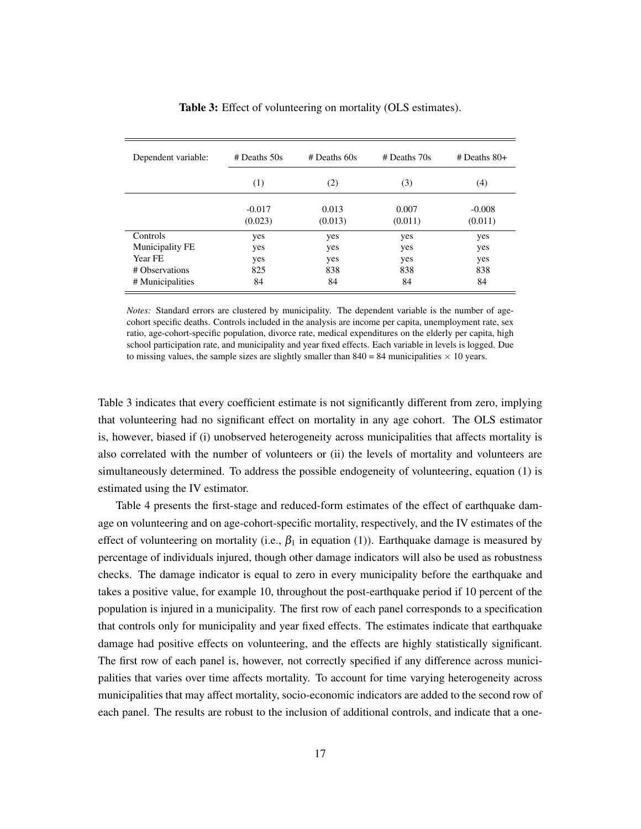| Dependent variable: | $#$ Deaths 50s      | $#$ Deaths 60s   | $#$ Deaths $70s$ | $#$ Deaths 80+      |
|---------------------|---------------------|------------------|------------------|---------------------|
|                     | (1)                 | (2)              | (3)              | (4)                 |
|                     | $-0.017$<br>(0.023) | 0.013<br>(0.013) | 0.007<br>(0.011) | $-0.008$<br>(0.011) |
| Controls            | yes                 | yes              | yes              | yes                 |
| Municipality FE     | yes                 | yes              | yes              | yes                 |
| Year FE             | yes                 | yes              | yes              | yes                 |
| # Observations      | 825                 | 838              | 838              | 838                 |
| # Municipalities    | 84                  | 84               | 84               | 84                  |

Table 3: Effect of volunteering on mortality (OLS estimates).

*Notes:* Standard errors are clustered by municipality. The dependent variable is the number of agecohort specific deaths. Controls included in the analysis are income per capita, unemployment rate, sex ratio, age-cohort-specific population, divorce rate, medical expenditures on the elderly per capita, high school participation rate, and municipality and year fixed effects. Each variable in levels is logged. Due to missing values, the sample sizes are slightly smaller than  $840 = 84$  municipalities  $\times$  10 years.

Table 3 indicates that every coefficient estimate is not significantly different from zero, implying that volunteering had no significant effect on mortality in any age cohort. The OLS estimator is, however, biased if (i) unobserved heterogeneity across municipalities that affects mortality is also correlated with the number of volunteers or (ii) the levels of mortality and volunteers are simultaneously determined. To address the possible endogeneity of volunteering, equation (1) is estimated using the IV estimator.

Table 4 presents the first-stage and reduced-form estimates of the effect of earthquake damage on volunteering and on age-cohort-specific mortality, respectively, and the IV estimates of the effect of volunteering on mortality (i.e.,  $\beta_1$  in equation (1)). Earthquake damage is measured by percentage of individuals injured, though other damage indicators will also be used as robustness checks. The damage indicator is equal to zero in every municipality before the earthquake and takes a positive value, for example 10, throughout the post-earthquake period if 10 percent of the population is injured in a municipality. The first row of each panel corresponds to a specification that controls only for municipality and year fixed effects. The estimates indicate that earthquake damage had positive effects on volunteering, and the effects are highly statistically significant. The first row of each panel is, however, not correctly specified if any difference across municipalities that varies over time affects mortality. To account for time varying heterogeneity across municipalities that may affect mortality, socio-economic indicators are added to the second row of each panel. The results are robust to the inclusion of additional controls, and indicate that a one-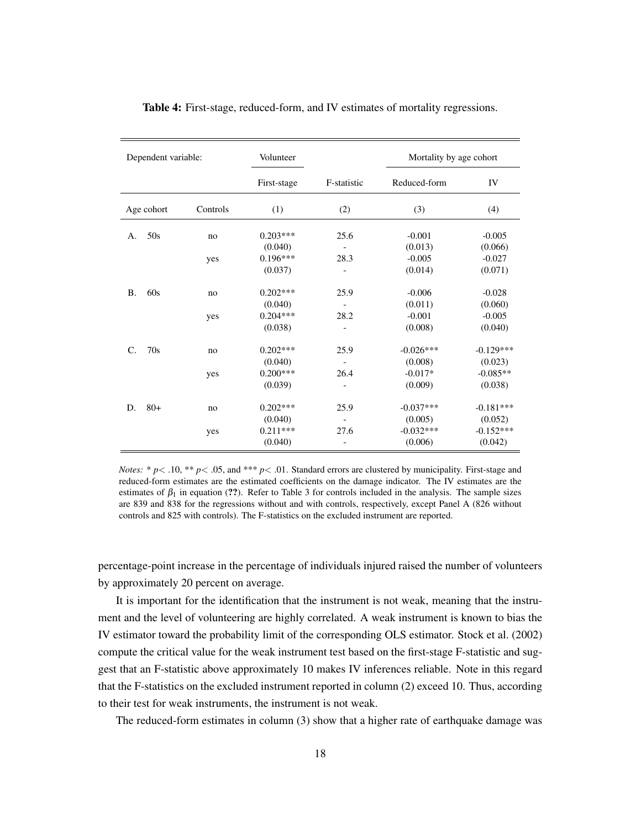| Dependent variable: |            | Volunteer |             |                          | Mortality by age cohort |             |
|---------------------|------------|-----------|-------------|--------------------------|-------------------------|-------------|
|                     |            |           | First-stage | F-statistic              | Reduced-form            | IV          |
|                     | Age cohort | Controls  | (1)         | (2)                      | (3)                     | (4)         |
| A.                  | 50s        | no        | $0.203***$  | 25.6                     | $-0.001$                | $-0.005$    |
|                     |            |           | (0.040)     |                          | (0.013)                 | (0.066)     |
|                     |            | yes       | $0.196***$  | 28.3                     | $-0.005$                | $-0.027$    |
|                     |            |           | (0.037)     | $\overline{\phantom{m}}$ | (0.014)                 | (0.071)     |
| <b>B.</b>           | 60s        | no        | $0.202***$  | 25.9                     | $-0.006$                | $-0.028$    |
|                     |            |           | (0.040)     |                          | (0.011)                 | (0.060)     |
|                     |            | yes       | $0.204***$  | 28.2                     | $-0.001$                | $-0.005$    |
|                     |            |           | (0.038)     |                          | (0.008)                 | (0.040)     |
| C.                  | 70s        | no        | $0.202***$  | 25.9                     | $-0.026***$             | $-0.129***$ |
|                     |            |           | (0.040)     |                          | (0.008)                 | (0.023)     |
|                     |            | yes       | $0.200***$  | 26.4                     | $-0.017*$               | $-0.085**$  |
|                     |            |           | (0.039)     |                          | (0.009)                 | (0.038)     |
| D.                  | $80+$      | no        | $0.202***$  | 25.9                     | $-0.037***$             | $-0.181***$ |
|                     |            |           | (0.040)     |                          | (0.005)                 | (0.052)     |
|                     |            | yes       | $0.211***$  | 27.6                     | $-0.032***$             | $-0.152***$ |
|                     |            |           | (0.040)     | $\overline{\phantom{a}}$ | (0.006)                 | (0.042)     |

Table 4: First-stage, reduced-form, and IV estimates of mortality regressions.

*Notes:* \*  $p$ < .10, \*\*  $p$  < .05, and \*\*\*  $p$  < .01. Standard errors are clustered by municipality. First-stage and reduced-form estimates are the estimated coefficients on the damage indicator. The IV estimates are the estimates of  $\beta_1$  in equation (??). Refer to Table 3 for controls included in the analysis. The sample sizes are 839 and 838 for the regressions without and with controls, respectively, except Panel A (826 without controls and 825 with controls). The F-statistics on the excluded instrument are reported.

percentage-point increase in the percentage of individuals injured raised the number of volunteers by approximately 20 percent on average.

It is important for the identification that the instrument is not weak, meaning that the instrument and the level of volunteering are highly correlated. A weak instrument is known to bias the IV estimator toward the probability limit of the corresponding OLS estimator. Stock et al. (2002) compute the critical value for the weak instrument test based on the first-stage F-statistic and suggest that an F-statistic above approximately 10 makes IV inferences reliable. Note in this regard that the F-statistics on the excluded instrument reported in column (2) exceed 10. Thus, according to their test for weak instruments, the instrument is not weak.

The reduced-form estimates in column (3) show that a higher rate of earthquake damage was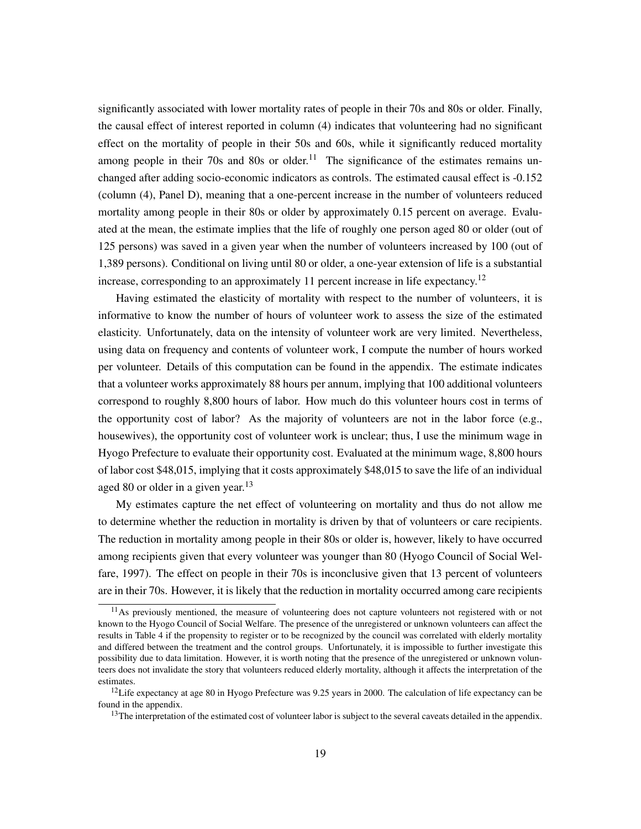significantly associated with lower mortality rates of people in their 70s and 80s or older. Finally, the causal effect of interest reported in column (4) indicates that volunteering had no significant effect on the mortality of people in their 50s and 60s, while it significantly reduced mortality among people in their 70s and 80s or older.<sup>11</sup> The significance of the estimates remains unchanged after adding socio-economic indicators as controls. The estimated causal effect is -0.152 (column (4), Panel D), meaning that a one-percent increase in the number of volunteers reduced mortality among people in their 80s or older by approximately 0.15 percent on average. Evaluated at the mean, the estimate implies that the life of roughly one person aged 80 or older (out of 125 persons) was saved in a given year when the number of volunteers increased by 100 (out of 1,389 persons). Conditional on living until 80 or older, a one-year extension of life is a substantial increase, corresponding to an approximately 11 percent increase in life expectancy.<sup>12</sup>

Having estimated the elasticity of mortality with respect to the number of volunteers, it is informative to know the number of hours of volunteer work to assess the size of the estimated elasticity. Unfortunately, data on the intensity of volunteer work are very limited. Nevertheless, using data on frequency and contents of volunteer work, I compute the number of hours worked per volunteer. Details of this computation can be found in the appendix. The estimate indicates that a volunteer works approximately 88 hours per annum, implying that 100 additional volunteers correspond to roughly 8,800 hours of labor. How much do this volunteer hours cost in terms of the opportunity cost of labor? As the majority of volunteers are not in the labor force (e.g., housewives), the opportunity cost of volunteer work is unclear; thus, I use the minimum wage in Hyogo Prefecture to evaluate their opportunity cost. Evaluated at the minimum wage, 8,800 hours of labor cost \$48,015, implying that it costs approximately \$48,015 to save the life of an individual aged 80 or older in a given year. $13$ 

My estimates capture the net effect of volunteering on mortality and thus do not allow me to determine whether the reduction in mortality is driven by that of volunteers or care recipients. The reduction in mortality among people in their 80s or older is, however, likely to have occurred among recipients given that every volunteer was younger than 80 (Hyogo Council of Social Welfare, 1997). The effect on people in their 70s is inconclusive given that 13 percent of volunteers are in their 70s. However, it is likely that the reduction in mortality occurred among care recipients

<sup>&</sup>lt;sup>11</sup>As previously mentioned, the measure of volunteering does not capture volunteers not registered with or not known to the Hyogo Council of Social Welfare. The presence of the unregistered or unknown volunteers can affect the results in Table 4 if the propensity to register or to be recognized by the council was correlated with elderly mortality and differed between the treatment and the control groups. Unfortunately, it is impossible to further investigate this possibility due to data limitation. However, it is worth noting that the presence of the unregistered or unknown volunteers does not invalidate the story that volunteers reduced elderly mortality, although it affects the interpretation of the estimates.

<sup>&</sup>lt;sup>12</sup>Life expectancy at age 80 in Hyogo Prefecture was 9.25 years in 2000. The calculation of life expectancy can be found in the appendix.

 $13$ The interpretation of the estimated cost of volunteer labor is subject to the several caveats detailed in the appendix.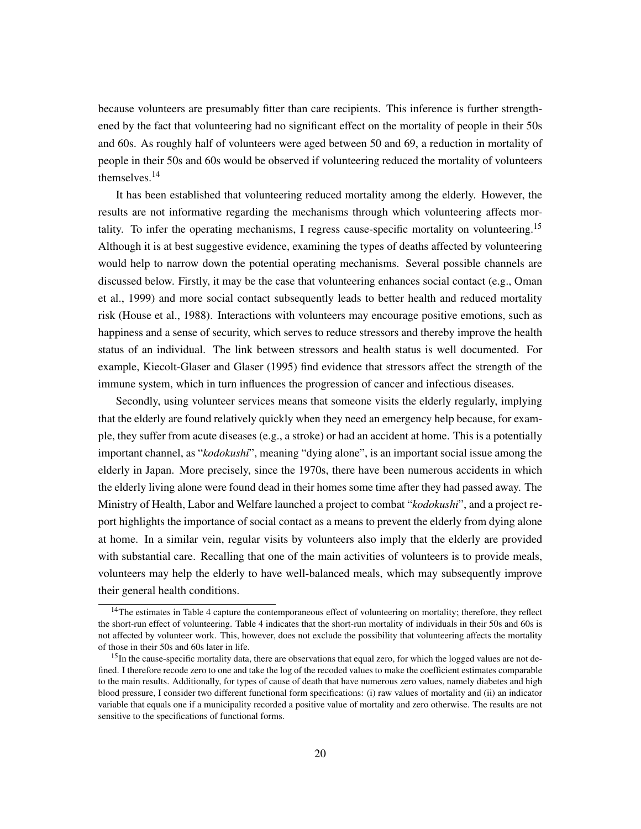because volunteers are presumably fitter than care recipients. This inference is further strengthened by the fact that volunteering had no significant effect on the mortality of people in their 50s and 60s. As roughly half of volunteers were aged between 50 and 69, a reduction in mortality of people in their 50s and 60s would be observed if volunteering reduced the mortality of volunteers themselves.<sup>14</sup>

It has been established that volunteering reduced mortality among the elderly. However, the results are not informative regarding the mechanisms through which volunteering affects mortality. To infer the operating mechanisms, I regress cause-specific mortality on volunteering.<sup>15</sup> Although it is at best suggestive evidence, examining the types of deaths affected by volunteering would help to narrow down the potential operating mechanisms. Several possible channels are discussed below. Firstly, it may be the case that volunteering enhances social contact (e.g., Oman et al., 1999) and more social contact subsequently leads to better health and reduced mortality risk (House et al., 1988). Interactions with volunteers may encourage positive emotions, such as happiness and a sense of security, which serves to reduce stressors and thereby improve the health status of an individual. The link between stressors and health status is well documented. For example, Kiecolt-Glaser and Glaser (1995) find evidence that stressors affect the strength of the immune system, which in turn influences the progression of cancer and infectious diseases.

Secondly, using volunteer services means that someone visits the elderly regularly, implying that the elderly are found relatively quickly when they need an emergency help because, for example, they suffer from acute diseases (e.g., a stroke) or had an accident at home. This is a potentially important channel, as "*kodokushi*", meaning "dying alone", is an important social issue among the elderly in Japan. More precisely, since the 1970s, there have been numerous accidents in which the elderly living alone were found dead in their homes some time after they had passed away. The Ministry of Health, Labor and Welfare launched a project to combat "*kodokushi*", and a project report highlights the importance of social contact as a means to prevent the elderly from dying alone at home. In a similar vein, regular visits by volunteers also imply that the elderly are provided with substantial care. Recalling that one of the main activities of volunteers is to provide meals, volunteers may help the elderly to have well-balanced meals, which may subsequently improve their general health conditions.

<sup>&</sup>lt;sup>14</sup>The estimates in Table 4 capture the contemporaneous effect of volunteering on mortality; therefore, they reflect the short-run effect of volunteering. Table 4 indicates that the short-run mortality of individuals in their 50s and 60s is not affected by volunteer work. This, however, does not exclude the possibility that volunteering affects the mortality of those in their 50s and 60s later in life.

<sup>&</sup>lt;sup>15</sup>In the cause-specific mortality data, there are observations that equal zero, for which the logged values are not defined. I therefore recode zero to one and take the log of the recoded values to make the coefficient estimates comparable to the main results. Additionally, for types of cause of death that have numerous zero values, namely diabetes and high blood pressure, I consider two different functional form specifications: (i) raw values of mortality and (ii) an indicator variable that equals one if a municipality recorded a positive value of mortality and zero otherwise. The results are not sensitive to the specifications of functional forms.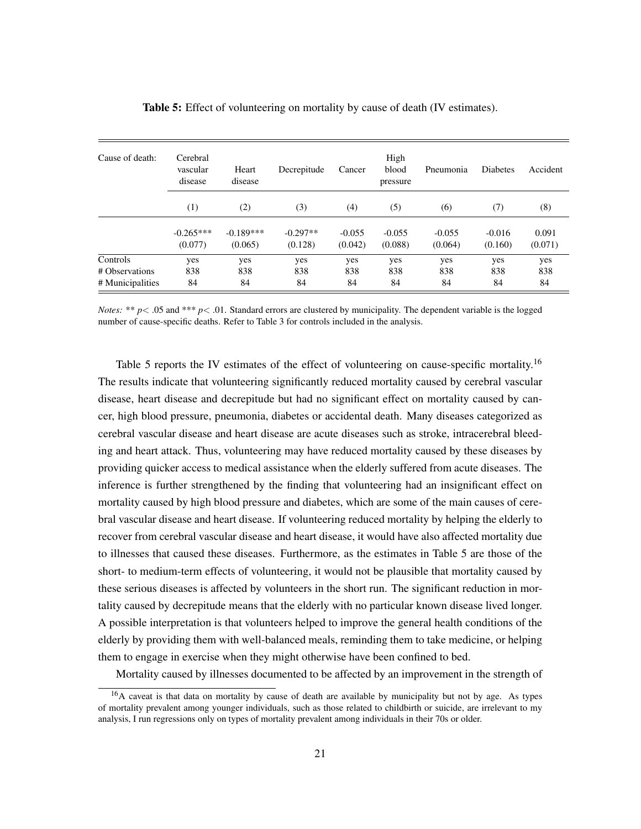| Cause of death:  | Cerebral<br>vascular<br>disease | Heart<br>disease | Decrepitude | Cancer   | High<br>blood<br>pressure | Pneumonia | <b>Diabetes</b> | Accident |
|------------------|---------------------------------|------------------|-------------|----------|---------------------------|-----------|-----------------|----------|
|                  | (1)                             | (2)              | (3)         | (4)      | (5)                       | (6)       | (7)             | (8)      |
|                  | $-0.265***$                     | $-0.189***$      | $-0.297**$  | $-0.055$ | $-0.055$                  | $-0.055$  | $-0.016$        | 0.091    |
|                  | (0.077)                         | (0.065)          | (0.128)     | (0.042)  | (0.088)                   | (0.064)   | (0.160)         | (0.071)  |
| Controls         | yes                             | yes              | yes         | yes      | yes                       | yes       | yes             | yes      |
| # Observations   | 838                             | 838              | 838         | 838      | 838                       | 838       | 838             | 838      |
| # Municipalities | 84                              | 84               | 84          | 84       | 84                        | 84        | 84              | 84       |

Table 5: Effect of volunteering on mortality by cause of death (IV estimates).

*Notes:* \*\* *p* < .05 and \*\*\* *p* < .01. Standard errors are clustered by municipality. The dependent variable is the logged number of cause-specific deaths. Refer to Table 3 for controls included in the analysis.

Table 5 reports the IV estimates of the effect of volunteering on cause-specific mortality.<sup>16</sup> The results indicate that volunteering significantly reduced mortality caused by cerebral vascular disease, heart disease and decrepitude but had no significant effect on mortality caused by cancer, high blood pressure, pneumonia, diabetes or accidental death. Many diseases categorized as cerebral vascular disease and heart disease are acute diseases such as stroke, intracerebral bleeding and heart attack. Thus, volunteering may have reduced mortality caused by these diseases by providing quicker access to medical assistance when the elderly suffered from acute diseases. The inference is further strengthened by the finding that volunteering had an insignificant effect on mortality caused by high blood pressure and diabetes, which are some of the main causes of cerebral vascular disease and heart disease. If volunteering reduced mortality by helping the elderly to recover from cerebral vascular disease and heart disease, it would have also affected mortality due to illnesses that caused these diseases. Furthermore, as the estimates in Table 5 are those of the short- to medium-term effects of volunteering, it would not be plausible that mortality caused by these serious diseases is affected by volunteers in the short run. The significant reduction in mortality caused by decrepitude means that the elderly with no particular known disease lived longer. A possible interpretation is that volunteers helped to improve the general health conditions of the elderly by providing them with well-balanced meals, reminding them to take medicine, or helping them to engage in exercise when they might otherwise have been confined to bed.

Mortality caused by illnesses documented to be affected by an improvement in the strength of

<sup>&</sup>lt;sup>16</sup>A caveat is that data on mortality by cause of death are available by municipality but not by age. As types of mortality prevalent among younger individuals, such as those related to childbirth or suicide, are irrelevant to my analysis, I run regressions only on types of mortality prevalent among individuals in their 70s or older.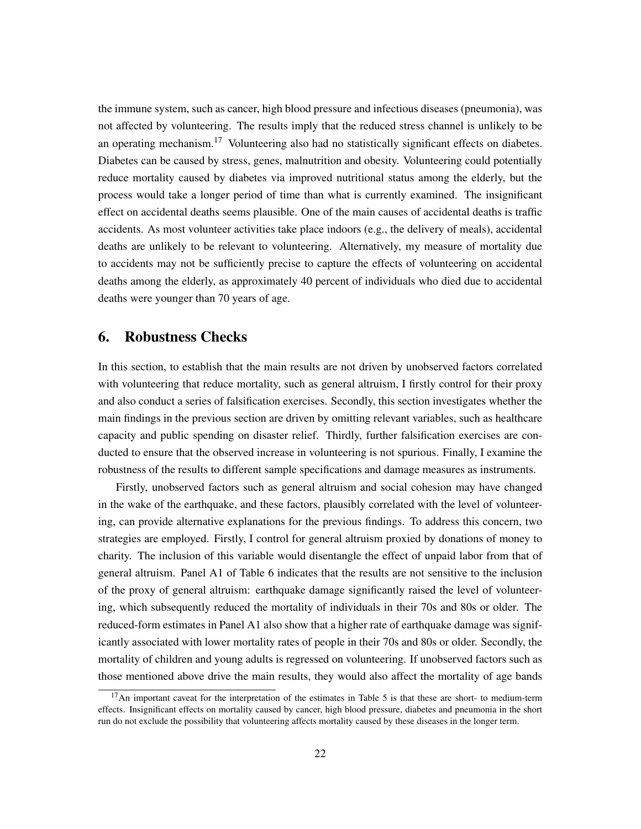the immune system, such as cancer, high blood pressure and infectious diseases (pneumonia), was not affected by volunteering. The results imply that the reduced stress channel is unlikely to be an operating mechanism.<sup>17</sup> Volunteering also had no statistically significant effects on diabetes. Diabetes can be caused by stress, genes, malnutrition and obesity. Volunteering could potentially reduce mortality caused by diabetes via improved nutritional status among the elderly, but the process would take a longer period of time than what is currently examined. The insignificant effect on accidental deaths seems plausible. One of the main causes of accidental deaths is traffic accidents. As most volunteer activities take place indoors (e.g., the delivery of meals), accidental deaths are unlikely to be relevant to volunteering. Alternatively, my measure of mortality due to accidents may not be sufficiently precise to capture the effects of volunteering on accidental deaths among the elderly, as approximately 40 percent of individuals who died due to accidental deaths were younger than 70 years of age.

#### 6. Robustness Checks

In this section, to establish that the main results are not driven by unobserved factors correlated with volunteering that reduce mortality, such as general altruism, I firstly control for their proxy and also conduct a series of falsification exercises. Secondly, this section investigates whether the main findings in the previous section are driven by omitting relevant variables, such as healthcare capacity and public spending on disaster relief. Thirdly, further falsification exercises are conducted to ensure that the observed increase in volunteering is not spurious. Finally, I examine the robustness of the results to different sample specifications and damage measures as instruments.

Firstly, unobserved factors such as general altruism and social cohesion may have changed in the wake of the earthquake, and these factors, plausibly correlated with the level of volunteering, can provide alternative explanations for the previous findings. To address this concern, two strategies are employed. Firstly, I control for general altruism proxied by donations of money to charity. The inclusion of this variable would disentangle the effect of unpaid labor from that of general altruism. Panel A1 of Table 6 indicates that the results are not sensitive to the inclusion of the proxy of general altruism: earthquake damage significantly raised the level of volunteering, which subsequently reduced the mortality of individuals in their 70s and 80s or older. The reduced-form estimates in Panel A1 also show that a higher rate of earthquake damage was significantly associated with lower mortality rates of people in their 70s and 80s or older. Secondly, the mortality of children and young adults is regressed on volunteering. If unobserved factors such as those mentioned above drive the main results, they would also affect the mortality of age bands

 $17$ An important caveat for the interpretation of the estimates in Table 5 is that these are short- to medium-term effects. Insignificant effects on mortality caused by cancer, high blood pressure, diabetes and pneumonia in the short run do not exclude the possibility that volunteering affects mortality caused by these diseases in the longer term.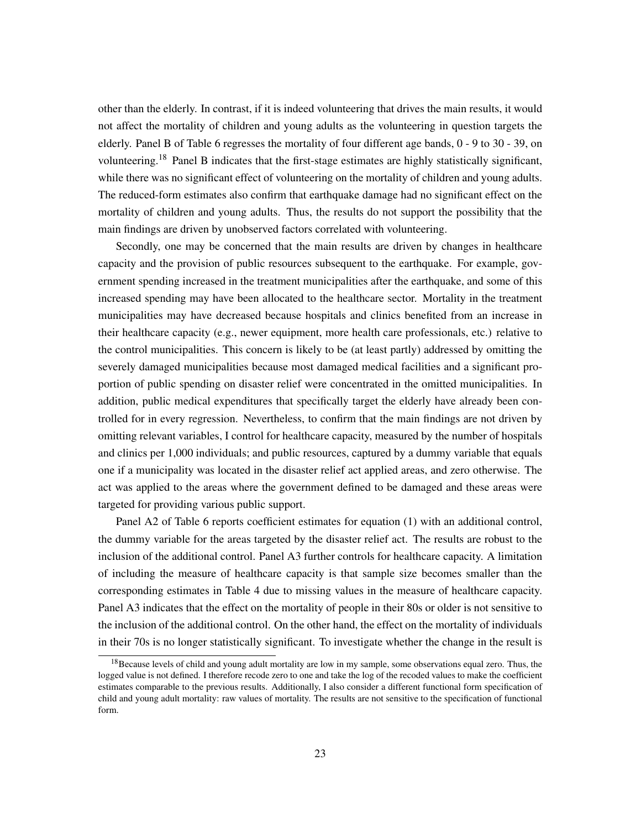other than the elderly. In contrast, if it is indeed volunteering that drives the main results, it would not affect the mortality of children and young adults as the volunteering in question targets the elderly. Panel B of Table 6 regresses the mortality of four different age bands, 0 - 9 to 30 - 39, on volunteering.<sup>18</sup> Panel B indicates that the first-stage estimates are highly statistically significant, while there was no significant effect of volunteering on the mortality of children and young adults. The reduced-form estimates also confirm that earthquake damage had no significant effect on the mortality of children and young adults. Thus, the results do not support the possibility that the main findings are driven by unobserved factors correlated with volunteering.

Secondly, one may be concerned that the main results are driven by changes in healthcare capacity and the provision of public resources subsequent to the earthquake. For example, government spending increased in the treatment municipalities after the earthquake, and some of this increased spending may have been allocated to the healthcare sector. Mortality in the treatment municipalities may have decreased because hospitals and clinics benefited from an increase in their healthcare capacity (e.g., newer equipment, more health care professionals, etc.) relative to the control municipalities. This concern is likely to be (at least partly) addressed by omitting the severely damaged municipalities because most damaged medical facilities and a significant proportion of public spending on disaster relief were concentrated in the omitted municipalities. In addition, public medical expenditures that specifically target the elderly have already been controlled for in every regression. Nevertheless, to confirm that the main findings are not driven by omitting relevant variables, I control for healthcare capacity, measured by the number of hospitals and clinics per 1,000 individuals; and public resources, captured by a dummy variable that equals one if a municipality was located in the disaster relief act applied areas, and zero otherwise. The act was applied to the areas where the government defined to be damaged and these areas were targeted for providing various public support.

Panel A2 of Table 6 reports coefficient estimates for equation (1) with an additional control, the dummy variable for the areas targeted by the disaster relief act. The results are robust to the inclusion of the additional control. Panel A3 further controls for healthcare capacity. A limitation of including the measure of healthcare capacity is that sample size becomes smaller than the corresponding estimates in Table 4 due to missing values in the measure of healthcare capacity. Panel A3 indicates that the effect on the mortality of people in their 80s or older is not sensitive to the inclusion of the additional control. On the other hand, the effect on the mortality of individuals in their 70s is no longer statistically significant. To investigate whether the change in the result is

<sup>&</sup>lt;sup>18</sup>Because levels of child and young adult mortality are low in my sample, some observations equal zero. Thus, the logged value is not defined. I therefore recode zero to one and take the log of the recoded values to make the coefficient estimates comparable to the previous results. Additionally, I also consider a different functional form specification of child and young adult mortality: raw values of mortality. The results are not sensitive to the specification of functional form.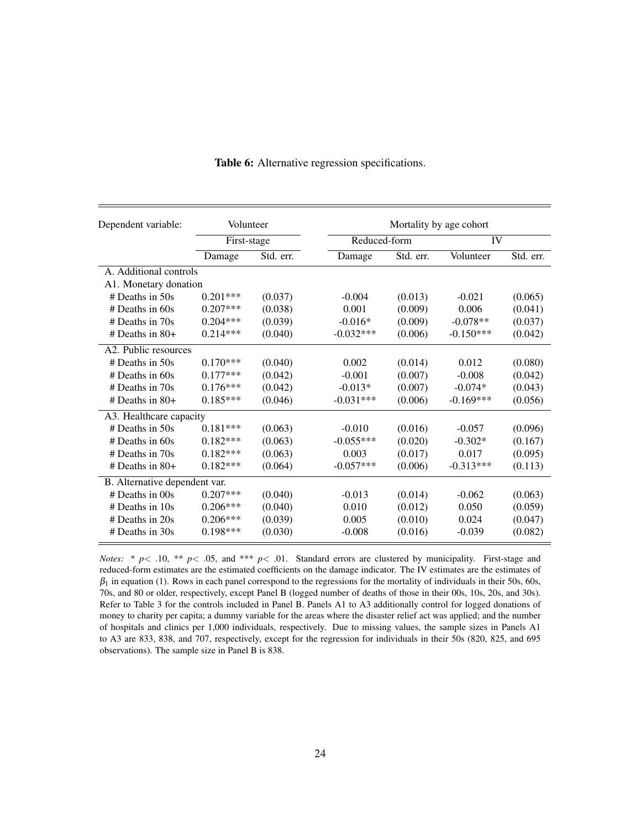| Dependent variable:           |             | Volunteer |              | Mortality by age cohort |             |           |  |  |
|-------------------------------|-------------|-----------|--------------|-------------------------|-------------|-----------|--|--|
|                               | First-stage |           | Reduced-form |                         | IV          |           |  |  |
|                               | Damage      | Std. err. | Damage       | Std. err.               | Volunteer   | Std. err. |  |  |
| A. Additional controls        |             |           |              |                         |             |           |  |  |
| A1. Monetary donation         |             |           |              |                         |             |           |  |  |
| $#$ Deaths in 50s             | $0.201***$  | (0.037)   | $-0.004$     | (0.013)                 | $-0.021$    | (0.065)   |  |  |
| $#$ Deaths in 60s             | $0.207***$  | (0.038)   | 0.001        | (0.009)                 | 0.006       | (0.041)   |  |  |
| $#$ Deaths in 70s             | $0.204***$  | (0.039)   | $-0.016*$    | (0.009)                 | $-0.078**$  | (0.037)   |  |  |
| $#$ Deaths in 80+             | $0.214***$  | (0.040)   | $-0.032***$  | (0.006)                 | $-0.150***$ | (0.042)   |  |  |
| A2. Public resources          |             |           |              |                         |             |           |  |  |
| $#$ Deaths in 50s             | $0.170***$  | (0.040)   | 0.002        | (0.014)                 | 0.012       | (0.080)   |  |  |
| $#$ Deaths in 60s             | $0.177***$  | (0.042)   | $-0.001$     | (0.007)                 | $-0.008$    | (0.042)   |  |  |
| $#$ Deaths in 70s             | $0.176***$  | (0.042)   | $-0.013*$    | (0.007)                 | $-0.074*$   | (0.043)   |  |  |
| $#$ Deaths in 80+             | $0.185***$  | (0.046)   | $-0.031***$  | (0.006)                 | $-0.169***$ | (0.056)   |  |  |
| A3. Healthcare capacity       |             |           |              |                         |             |           |  |  |
| $#$ Deaths in 50s             | $0.181***$  | (0.063)   | $-0.010$     | (0.016)                 | $-0.057$    | (0.096)   |  |  |
| $#$ Deaths in 60s             | $0.182***$  | (0.063)   | $-0.055***$  | (0.020)                 | $-0.302*$   | (0.167)   |  |  |
| $#$ Deaths in 70s             | $0.182***$  | (0.063)   | 0.003        | (0.017)                 | 0.017       | (0.095)   |  |  |
| $#$ Deaths in 80+             | $0.182***$  | (0.064)   | $-0.057***$  | (0.006)                 | $-0.313***$ | (0.113)   |  |  |
| B. Alternative dependent var. |             |           |              |                         |             |           |  |  |
| $#$ Deaths in $00s$           | $0.207***$  | (0.040)   | $-0.013$     | (0.014)                 | $-0.062$    | (0.063)   |  |  |
| $#$ Deaths in 10s             | $0.206***$  | (0.040)   | 0.010        | (0.012)                 | 0.050       | (0.059)   |  |  |
| $#$ Deaths in 20s             | $0.206***$  | (0.039)   | 0.005        | (0.010)                 | 0.024       | (0.047)   |  |  |
| $#$ Deaths in 30s             | $0.198***$  | (0.030)   | $-0.008$     | (0.016)                 | $-0.039$    | (0.082)   |  |  |

Table 6: Alternative regression specifications.

*Notes:* \*  $p$ < .10, \*\*  $p$ < .05, and \*\*\*  $p$ < .01. Standard errors are clustered by municipality. First-stage and reduced-form estimates are the estimated coefficients on the damage indicator. The IV estimates are the estimates of  $\beta_1$  in equation (1). Rows in each panel correspond to the regressions for the mortality of individuals in their 50s, 60s, 70s, and 80 or older, respectively, except Panel B (logged number of deaths of those in their 00s, 10s, 20s, and 30s). Refer to Table 3 for the controls included in Panel B. Panels A1 to A3 additionally control for logged donations of money to charity per capita; a dummy variable for the areas where the disaster relief act was applied; and the number of hospitals and clinics per 1,000 individuals, respectively. Due to missing values, the sample sizes in Panels A1 to A3 are 833, 838, and 707, respectively, except for the regression for individuals in their 50s (820, 825, and 695 observations). The sample size in Panel B is 838.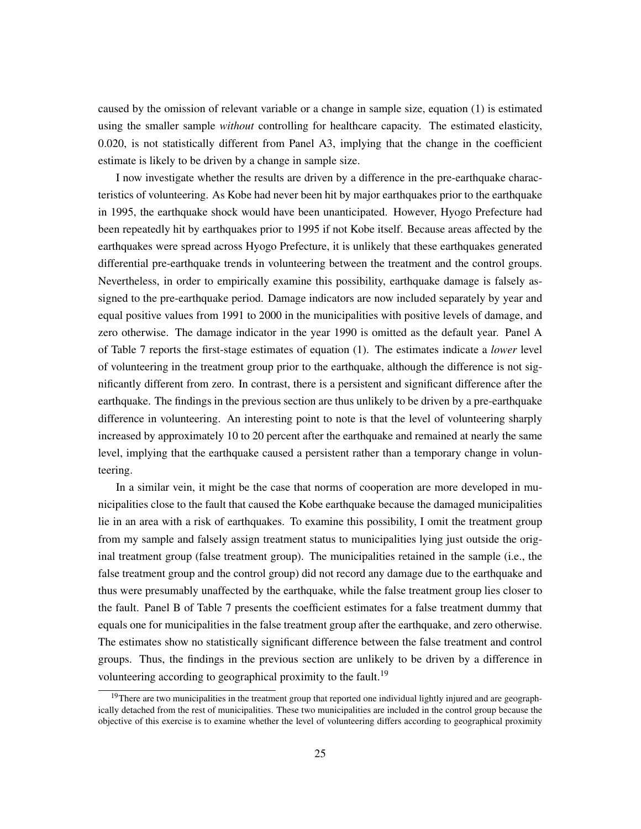caused by the omission of relevant variable or a change in sample size, equation (1) is estimated using the smaller sample *without* controlling for healthcare capacity. The estimated elasticity, 0.020, is not statistically different from Panel A3, implying that the change in the coefficient estimate is likely to be driven by a change in sample size.

I now investigate whether the results are driven by a difference in the pre-earthquake characteristics of volunteering. As Kobe had never been hit by major earthquakes prior to the earthquake in 1995, the earthquake shock would have been unanticipated. However, Hyogo Prefecture had been repeatedly hit by earthquakes prior to 1995 if not Kobe itself. Because areas affected by the earthquakes were spread across Hyogo Prefecture, it is unlikely that these earthquakes generated differential pre-earthquake trends in volunteering between the treatment and the control groups. Nevertheless, in order to empirically examine this possibility, earthquake damage is falsely assigned to the pre-earthquake period. Damage indicators are now included separately by year and equal positive values from 1991 to 2000 in the municipalities with positive levels of damage, and zero otherwise. The damage indicator in the year 1990 is omitted as the default year. Panel A of Table 7 reports the first-stage estimates of equation (1). The estimates indicate a *lower* level of volunteering in the treatment group prior to the earthquake, although the difference is not significantly different from zero. In contrast, there is a persistent and significant difference after the earthquake. The findings in the previous section are thus unlikely to be driven by a pre-earthquake difference in volunteering. An interesting point to note is that the level of volunteering sharply increased by approximately 10 to 20 percent after the earthquake and remained at nearly the same level, implying that the earthquake caused a persistent rather than a temporary change in volunteering.

In a similar vein, it might be the case that norms of cooperation are more developed in municipalities close to the fault that caused the Kobe earthquake because the damaged municipalities lie in an area with a risk of earthquakes. To examine this possibility, I omit the treatment group from my sample and falsely assign treatment status to municipalities lying just outside the original treatment group (false treatment group). The municipalities retained in the sample (i.e., the false treatment group and the control group) did not record any damage due to the earthquake and thus were presumably unaffected by the earthquake, while the false treatment group lies closer to the fault. Panel B of Table 7 presents the coefficient estimates for a false treatment dummy that equals one for municipalities in the false treatment group after the earthquake, and zero otherwise. The estimates show no statistically significant difference between the false treatment and control groups. Thus, the findings in the previous section are unlikely to be driven by a difference in volunteering according to geographical proximity to the fault.<sup>19</sup>

<sup>&</sup>lt;sup>19</sup>There are two municipalities in the treatment group that reported one individual lightly injured and are geographically detached from the rest of municipalities. These two municipalities are included in the control group because the objective of this exercise is to examine whether the level of volunteering differs according to geographical proximity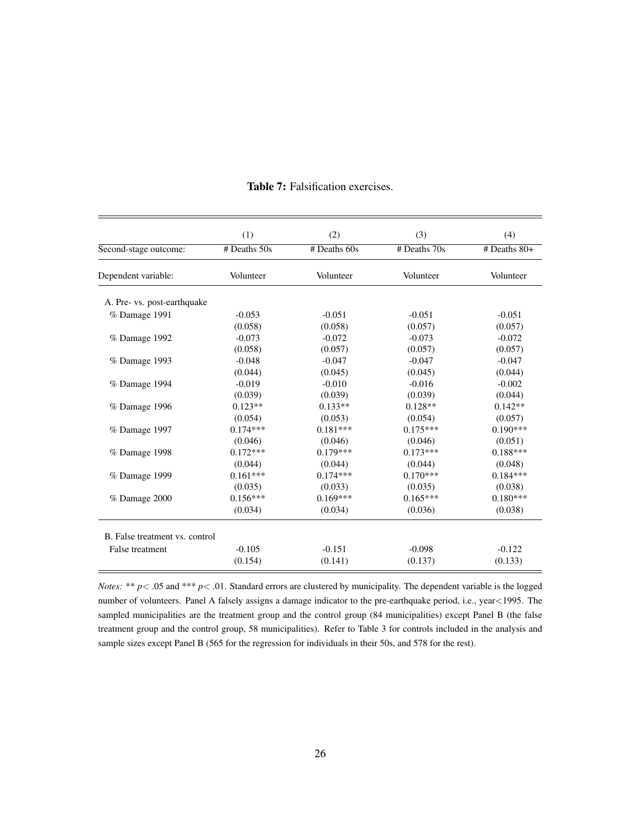|                                | (1)            | (2)            | (3)          | (4)            |
|--------------------------------|----------------|----------------|--------------|----------------|
| Second-stage outcome:          | $#$ Deaths 50s | $#$ Deaths 60s | # Deaths 70s | $#$ Deaths 80+ |
| Dependent variable:            | Volunteer      | Volunteer      | Volunteer    | Volunteer      |
| A. Pre- vs. post-earthquake    |                |                |              |                |
| % Damage 1991                  | $-0.053$       | $-0.051$       | $-0.051$     | $-0.051$       |
|                                | (0.058)        | (0.058)        | (0.057)      | (0.057)        |
| % Damage 1992                  | $-0.073$       | $-0.072$       | $-0.073$     | $-0.072$       |
|                                | (0.058)        | (0.057)        | (0.057)      | (0.057)        |
| % Damage 1993                  | $-0.048$       | $-0.047$       | $-0.047$     | $-0.047$       |
|                                | (0.044)        | (0.045)        | (0.045)      | (0.044)        |
| % Damage 1994                  | $-0.019$       | $-0.010$       | $-0.016$     | $-0.002$       |
|                                | (0.039)        | (0.039)        | (0.039)      | (0.044)        |
| % Damage 1996                  | $0.123**$      | $0.133**$      | $0.128**$    | $0.142**$      |
|                                | (0.054)        | (0.053)        | (0.054)      | (0.057)        |
| % Damage 1997                  | $0.174***$     | $0.181***$     | $0.175***$   | $0.190***$     |
|                                | (0.046)        | (0.046)        | (0.046)      | (0.051)        |
| % Damage 1998                  | $0.172***$     | $0.179***$     | $0.173***$   | $0.188***$     |
|                                | (0.044)        | (0.044)        | (0.044)      | (0.048)        |
| % Damage 1999                  | $0.161***$     | $0.174***$     | $0.170***$   | $0.184***$     |
|                                | (0.035)        | (0.033)        | (0.035)      | (0.038)        |
| $%$ Damage 2000                | $0.156***$     | $0.169***$     | $0.165***$   | $0.180***$     |
|                                | (0.034)        | (0.034)        | (0.036)      | (0.038)        |
| B. False treatment vs. control |                |                |              |                |
| False treatment                | $-0.105$       | $-0.151$       | $-0.098$     | $-0.122$       |
|                                | (0.154)        | (0.141)        | (0.137)      | (0.133)        |

#### Table 7: Falsification exercises.

*Notes:* \*\* *p*< .05 and \*\*\* *p*< .01. Standard errors are clustered by municipality. The dependent variable is the logged number of volunteers. Panel A falsely assigns a damage indicator to the pre-earthquake period, i.e., year<1995. The sampled municipalities are the treatment group and the control group (84 municipalities) except Panel B (the false treatment group and the control group, 58 municipalities). Refer to Table 3 for controls included in the analysis and sample sizes except Panel B (565 for the regression for individuals in their 50s, and 578 for the rest).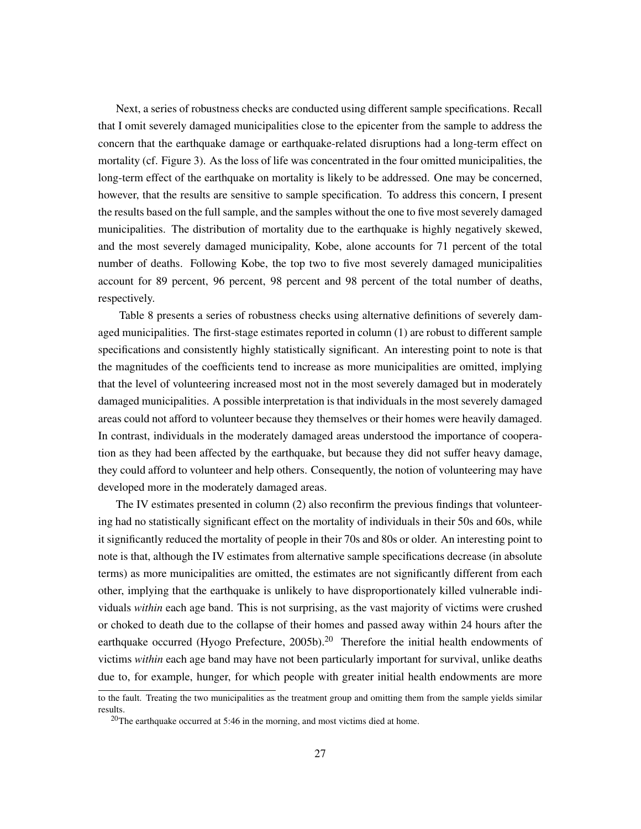Next, a series of robustness checks are conducted using different sample specifications. Recall that I omit severely damaged municipalities close to the epicenter from the sample to address the concern that the earthquake damage or earthquake-related disruptions had a long-term effect on mortality (cf. Figure 3). As the loss of life was concentrated in the four omitted municipalities, the long-term effect of the earthquake on mortality is likely to be addressed. One may be concerned, however, that the results are sensitive to sample specification. To address this concern, I present the results based on the full sample, and the samples without the one to five most severely damaged municipalities. The distribution of mortality due to the earthquake is highly negatively skewed, and the most severely damaged municipality, Kobe, alone accounts for 71 percent of the total number of deaths. Following Kobe, the top two to five most severely damaged municipalities account for 89 percent, 96 percent, 98 percent and 98 percent of the total number of deaths, respectively.

Table 8 presents a series of robustness checks using alternative definitions of severely damaged municipalities. The first-stage estimates reported in column (1) are robust to different sample specifications and consistently highly statistically significant. An interesting point to note is that the magnitudes of the coefficients tend to increase as more municipalities are omitted, implying that the level of volunteering increased most not in the most severely damaged but in moderately damaged municipalities. A possible interpretation is that individuals in the most severely damaged areas could not afford to volunteer because they themselves or their homes were heavily damaged. In contrast, individuals in the moderately damaged areas understood the importance of cooperation as they had been affected by the earthquake, but because they did not suffer heavy damage, they could afford to volunteer and help others. Consequently, the notion of volunteering may have developed more in the moderately damaged areas.

The IV estimates presented in column (2) also reconfirm the previous findings that volunteering had no statistically significant effect on the mortality of individuals in their 50s and 60s, while it significantly reduced the mortality of people in their 70s and 80s or older. An interesting point to note is that, although the IV estimates from alternative sample specifications decrease (in absolute terms) as more municipalities are omitted, the estimates are not significantly different from each other, implying that the earthquake is unlikely to have disproportionately killed vulnerable individuals *within* each age band. This is not surprising, as the vast majority of victims were crushed or choked to death due to the collapse of their homes and passed away within 24 hours after the earthquake occurred (Hyogo Prefecture, 2005b).<sup>20</sup> Therefore the initial health endowments of victims *within* each age band may have not been particularly important for survival, unlike deaths due to, for example, hunger, for which people with greater initial health endowments are more

to the fault. Treating the two municipalities as the treatment group and omitting them from the sample yields similar results.

 $20$ The earthquake occurred at 5:46 in the morning, and most victims died at home.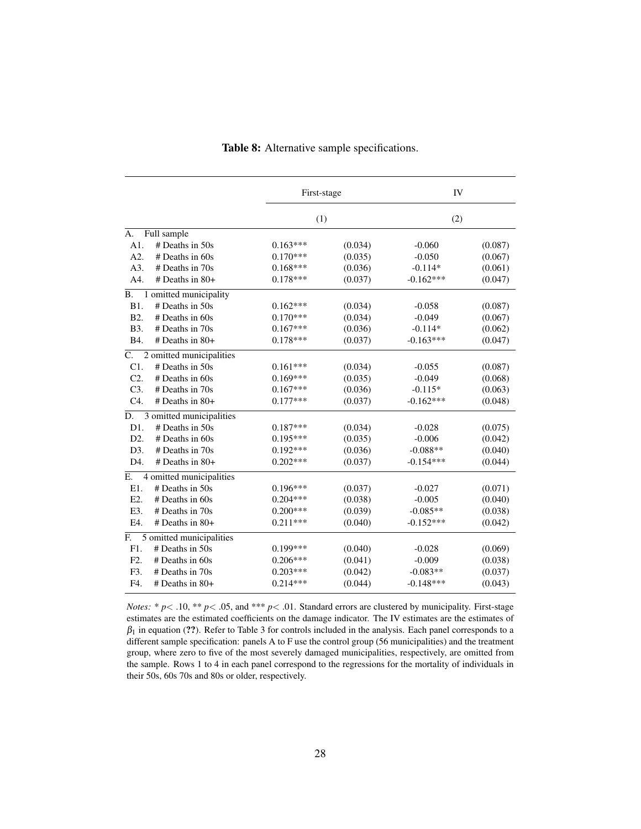|                  |                          | First-stage<br>(1) |         | IV          |         |
|------------------|--------------------------|--------------------|---------|-------------|---------|
|                  |                          |                    |         | (2)         |         |
| A.               | Full sample              |                    |         |             |         |
| A1.              | $#$ Deaths in 50s        | $0.163***$         | (0.034) | $-0.060$    | (0.087) |
| A2.              | $#$ Deaths in 60s        | $0.170***$         | (0.035) | $-0.050$    | (0.067) |
| A3.              | # Deaths in 70s          | $0.168***$         | (0.036) | $-0.114*$   | (0.061) |
| A4.              | $#$ Deaths in 80+        | $0.178***$         | (0.037) | $-0.162***$ | (0.047) |
| <b>B.</b>        | 1 omitted municipality   |                    |         |             |         |
| B1.              | $#$ Deaths in 50s        | $0.162***$         | (0.034) | $-0.058$    | (0.087) |
| B2.              | $#$ Deaths in 60s        | $0.170***$         | (0.034) | $-0.049$    | (0.067) |
| B3.              | # Deaths in 70s          | $0.167***$         | (0.036) | $-0.114*$   | (0.062) |
| <b>B4.</b>       | # Deaths in 80+          | $0.178***$         | (0.037) | $-0.163***$ | (0.047) |
| $C_{\cdot}$      | 2 omitted municipalities |                    |         |             |         |
| C1.              | $#$ Deaths in 50s        | $0.161***$         | (0.034) | $-0.055$    | (0.087) |
| C <sub>2</sub>   | $#$ Deaths in 60s        | $0.169***$         | (0.035) | $-0.049$    | (0.068) |
| $C3$ .           | # Deaths in 70s          | $0.167***$         | (0.036) | $-0.115*$   | (0.063) |
| $C4$ .           | # Deaths in 80+          | $0.177***$         | (0.037) | $-0.162***$ | (0.048) |
| D.               | 3 omitted municipalities |                    |         |             |         |
| D1.              | $#$ Deaths in 50s        | $0.187***$         | (0.034) | $-0.028$    | (0.075) |
| D <sub>2</sub> . | # Deaths in 60s          | $0.195***$         | (0.035) | $-0.006$    | (0.042) |
| D3.              | # Deaths in 70s          | $0.192***$         | (0.036) | $-0.088**$  | (0.040) |
| D4.              | # Deaths in 80+          | $0.202***$         | (0.037) | $-0.154***$ | (0.044) |
| Е.               | 4 omitted municipalities |                    |         |             |         |
| E1.              | # Deaths in 50s          | $0.196***$         | (0.037) | $-0.027$    | (0.071) |
| E2.              | # Deaths in 60s          | $0.204***$         | (0.038) | $-0.005$    | (0.040) |
| E3.              | # Deaths in 70s          | $0.200***$         | (0.039) | $-0.085**$  | (0.038) |
| E4.              | # Deaths in 80+          | $0.211***$         | (0.040) | $-0.152***$ | (0.042) |
| F.               | 5 omitted municipalities |                    |         |             |         |
| F1.              | $#$ Deaths in 50s        | $0.199***$         | (0.040) | $-0.028$    | (0.069) |
| F <sub>2</sub> . | $#$ Deaths in 60s        | $0.206***$         | (0.041) | $-0.009$    | (0.038) |
| F3.              | $#$ Deaths in 70s        | $0.203***$         | (0.042) | $-0.083**$  | (0.037) |
| F4.              | $#$ Deaths in 80+        | $0.214***$         | (0.044) | $-0.148***$ | (0.043) |

#### Table 8: Alternative sample specifications.

*Notes:* \* *p*< .10, \*\* *p*< .05, and \*\*\* *p*< .01. Standard errors are clustered by municipality. First-stage estimates are the estimated coefficients on the damage indicator. The IV estimates are the estimates of  $\beta_1$  in equation (??). Refer to Table 3 for controls included in the analysis. Each panel corresponds to a different sample specification: panels A to F use the control group (56 municipalities) and the treatment group, where zero to five of the most severely damaged municipalities, respectively, are omitted from the sample. Rows 1 to 4 in each panel correspond to the regressions for the mortality of individuals in their 50s, 60s 70s and 80s or older, respectively.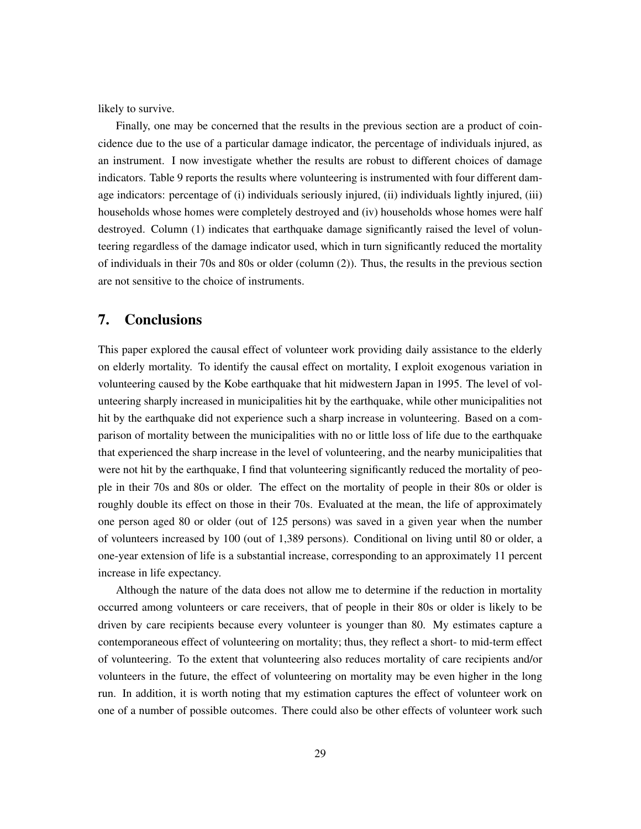likely to survive.

Finally, one may be concerned that the results in the previous section are a product of coincidence due to the use of a particular damage indicator, the percentage of individuals injured, as an instrument. I now investigate whether the results are robust to different choices of damage indicators. Table 9 reports the results where volunteering is instrumented with four different damage indicators: percentage of (i) individuals seriously injured, (ii) individuals lightly injured, (iii) households whose homes were completely destroyed and (iv) households whose homes were half destroyed. Column (1) indicates that earthquake damage significantly raised the level of volunteering regardless of the damage indicator used, which in turn significantly reduced the mortality of individuals in their 70s and 80s or older (column (2)). Thus, the results in the previous section are not sensitive to the choice of instruments.

#### 7. Conclusions

This paper explored the causal effect of volunteer work providing daily assistance to the elderly on elderly mortality. To identify the causal effect on mortality, I exploit exogenous variation in volunteering caused by the Kobe earthquake that hit midwestern Japan in 1995. The level of volunteering sharply increased in municipalities hit by the earthquake, while other municipalities not hit by the earthquake did not experience such a sharp increase in volunteering. Based on a comparison of mortality between the municipalities with no or little loss of life due to the earthquake that experienced the sharp increase in the level of volunteering, and the nearby municipalities that were not hit by the earthquake, I find that volunteering significantly reduced the mortality of people in their 70s and 80s or older. The effect on the mortality of people in their 80s or older is roughly double its effect on those in their 70s. Evaluated at the mean, the life of approximately one person aged 80 or older (out of 125 persons) was saved in a given year when the number of volunteers increased by 100 (out of 1,389 persons). Conditional on living until 80 or older, a one-year extension of life is a substantial increase, corresponding to an approximately 11 percent increase in life expectancy.

Although the nature of the data does not allow me to determine if the reduction in mortality occurred among volunteers or care receivers, that of people in their 80s or older is likely to be driven by care recipients because every volunteer is younger than 80. My estimates capture a contemporaneous effect of volunteering on mortality; thus, they reflect a short- to mid-term effect of volunteering. To the extent that volunteering also reduces mortality of care recipients and/or volunteers in the future, the effect of volunteering on mortality may be even higher in the long run. In addition, it is worth noting that my estimation captures the effect of volunteer work on one of a number of possible outcomes. There could also be other effects of volunteer work such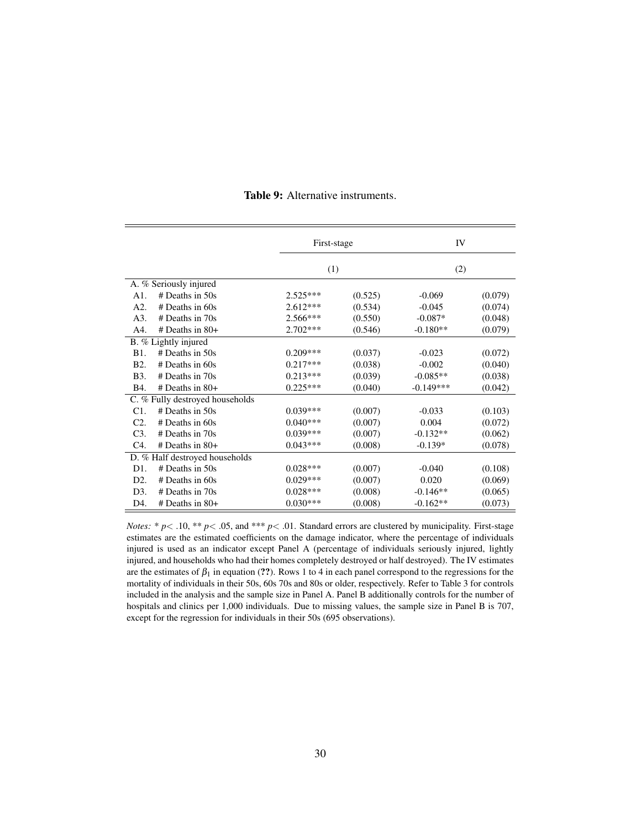|                  |                                 | First-stage |         | IV          |         |
|------------------|---------------------------------|-------------|---------|-------------|---------|
|                  |                                 | (1)         |         | (2)         |         |
|                  | A. % Seriously injured          |             |         |             |         |
| A1.              | $#$ Deaths in 50s               | $2.525***$  | (0.525) | $-0.069$    | (0.079) |
| A2.              | $#$ Deaths in 60s               | $2.612***$  | (0.534) | $-0.045$    | (0.074) |
| A3.              | $#$ Deaths in 70s               | $2.566***$  | (0.550) | $-0.087*$   | (0.048) |
| A4.              | $#$ Deaths in 80+               | $2.702***$  | (0.546) | $-0.180**$  | (0.079) |
|                  | B. % Lightly injured            |             |         |             |         |
| <b>B</b> 1.      | $#$ Deaths in 50s               | $0.209***$  | (0.037) | $-0.023$    | (0.072) |
| B <sub>2</sub> . | $#$ Deaths in 60s               | $0.217***$  | (0.038) | $-0.002$    | (0.040) |
| B <sub>3</sub> . | $#$ Deaths in 70s               | $0.213***$  | (0.039) | $-0.085**$  | (0.038) |
| B4.              | $#$ Deaths in 80+               | $0.225***$  | (0.040) | $-0.149***$ | (0.042) |
|                  | C. % Fully destroyed households |             |         |             |         |
| C1.              | # Deaths in 50s                 | $0.039***$  | (0.007) | $-0.033$    | (0.103) |
| C <sub>2</sub>   | $#$ Deaths in 60s               | $0.040***$  | (0.007) | 0.004       | (0.072) |
| C <sub>3</sub>   | $#$ Deaths in 70s               | $0.039***$  | (0.007) | $-0.132**$  | (0.062) |
| C4.              | $#$ Deaths in 80+               | $0.043***$  | (0.008) | $-0.139*$   | (0.078) |
|                  | D. % Half destroyed households  |             |         |             |         |
| D1.              | $#$ Deaths in 50s               | $0.028***$  | (0.007) | $-0.040$    | (0.108) |
| D2.              | $#$ Deaths in 60s               | $0.029***$  | (0.007) | 0.020       | (0.069) |
| D3.              | $#$ Deaths in 70s               | $0.028***$  | (0.008) | $-0.146**$  | (0.065) |
| D4.              | $#$ Deaths in 80+               | $0.030***$  | (0.008) | $-0.162**$  | (0.073) |

Table 9: Alternative instruments.

*Notes:* \* *p*< .10, \*\* *p*< .05, and \*\*\* *p*< .01. Standard errors are clustered by municipality. First-stage estimates are the estimated coefficients on the damage indicator, where the percentage of individuals injured is used as an indicator except Panel A (percentage of individuals seriously injured, lightly injured, and households who had their homes completely destroyed or half destroyed). The IV estimates are the estimates of  $\beta_1$  in equation (??). Rows 1 to 4 in each panel correspond to the regressions for the mortality of individuals in their 50s, 60s 70s and 80s or older, respectively. Refer to Table 3 for controls included in the analysis and the sample size in Panel A. Panel B additionally controls for the number of hospitals and clinics per 1,000 individuals. Due to missing values, the sample size in Panel B is 707, except for the regression for individuals in their 50s (695 observations).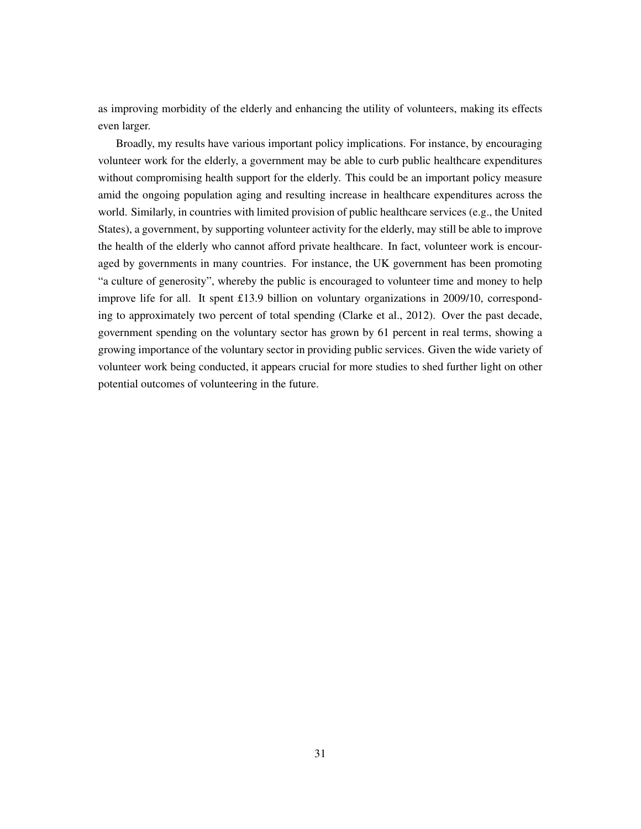as improving morbidity of the elderly and enhancing the utility of volunteers, making its effects even larger.

Broadly, my results have various important policy implications. For instance, by encouraging volunteer work for the elderly, a government may be able to curb public healthcare expenditures without compromising health support for the elderly. This could be an important policy measure amid the ongoing population aging and resulting increase in healthcare expenditures across the world. Similarly, in countries with limited provision of public healthcare services (e.g., the United States), a government, by supporting volunteer activity for the elderly, may still be able to improve the health of the elderly who cannot afford private healthcare. In fact, volunteer work is encouraged by governments in many countries. For instance, the UK government has been promoting "a culture of generosity", whereby the public is encouraged to volunteer time and money to help improve life for all. It spent £13.9 billion on voluntary organizations in 2009/10, corresponding to approximately two percent of total spending (Clarke et al., 2012). Over the past decade, government spending on the voluntary sector has grown by 61 percent in real terms, showing a growing importance of the voluntary sector in providing public services. Given the wide variety of volunteer work being conducted, it appears crucial for more studies to shed further light on other potential outcomes of volunteering in the future.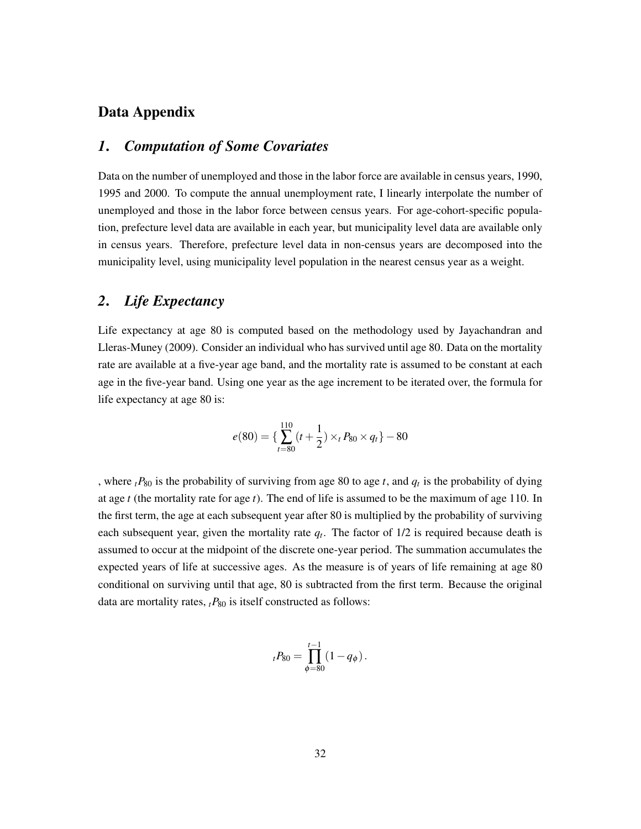## Data Appendix

### *1*. *Computation of Some Covariates*

Data on the number of unemployed and those in the labor force are available in census years, 1990, 1995 and 2000. To compute the annual unemployment rate, I linearly interpolate the number of unemployed and those in the labor force between census years. For age-cohort-specific population, prefecture level data are available in each year, but municipality level data are available only in census years. Therefore, prefecture level data in non-census years are decomposed into the municipality level, using municipality level population in the nearest census year as a weight.

# *2*. *Life Expectancy*

Life expectancy at age 80 is computed based on the methodology used by Jayachandran and Lleras-Muney (2009). Consider an individual who has survived until age 80. Data on the mortality rate are available at a five-year age band, and the mortality rate is assumed to be constant at each age in the five-year band. Using one year as the age increment to be iterated over, the formula for life expectancy at age 80 is:

$$
e(80) = \left\{ \sum_{t=80}^{110} (t + \frac{1}{2}) \times_{t} P_{80} \times q_{t} \right\} - 80
$$

, where  $t P_{80}$  is the probability of surviving from age 80 to age *t*, and  $q_t$  is the probability of dying at age *t* (the mortality rate for age *t*). The end of life is assumed to be the maximum of age 110. In the first term, the age at each subsequent year after 80 is multiplied by the probability of surviving each subsequent year, given the mortality rate *q<sup>t</sup>* . The factor of 1/2 is required because death is assumed to occur at the midpoint of the discrete one-year period. The summation accumulates the expected years of life at successive ages. As the measure is of years of life remaining at age 80 conditional on surviving until that age, 80 is subtracted from the first term. Because the original data are mortality rates,  $t_{1}P_{80}$  is itself constructed as follows:

$$
{}_{t}P_{80} = \prod_{\phi=80}^{t-1} (1 - q_{\phi}).
$$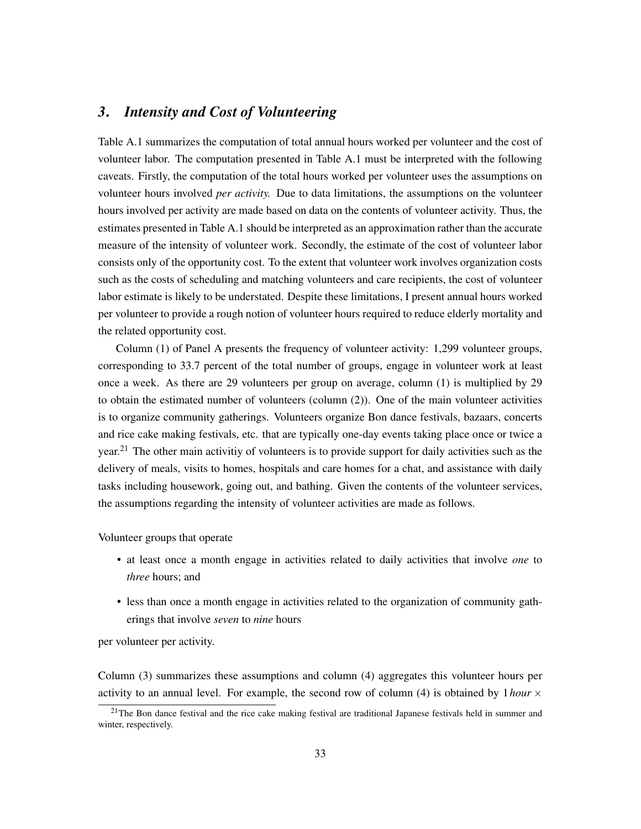#### *3*. *Intensity and Cost of Volunteering*

Table A.1 summarizes the computation of total annual hours worked per volunteer and the cost of volunteer labor. The computation presented in Table A.1 must be interpreted with the following caveats. Firstly, the computation of the total hours worked per volunteer uses the assumptions on volunteer hours involved *per activity.* Due to data limitations, the assumptions on the volunteer hours involved per activity are made based on data on the contents of volunteer activity. Thus, the estimates presented in Table A.1 should be interpreted as an approximation rather than the accurate measure of the intensity of volunteer work. Secondly, the estimate of the cost of volunteer labor consists only of the opportunity cost. To the extent that volunteer work involves organization costs such as the costs of scheduling and matching volunteers and care recipients, the cost of volunteer labor estimate is likely to be understated. Despite these limitations, I present annual hours worked per volunteer to provide a rough notion of volunteer hours required to reduce elderly mortality and the related opportunity cost.

Column (1) of Panel A presents the frequency of volunteer activity: 1,299 volunteer groups, corresponding to 33.7 percent of the total number of groups, engage in volunteer work at least once a week. As there are 29 volunteers per group on average, column (1) is multiplied by 29 to obtain the estimated number of volunteers (column (2)). One of the main volunteer activities is to organize community gatherings. Volunteers organize Bon dance festivals, bazaars, concerts and rice cake making festivals, etc. that are typically one-day events taking place once or twice a year.<sup>21</sup> The other main activitiy of volunteers is to provide support for daily activities such as the delivery of meals, visits to homes, hospitals and care homes for a chat, and assistance with daily tasks including housework, going out, and bathing. Given the contents of the volunteer services, the assumptions regarding the intensity of volunteer activities are made as follows.

Volunteer groups that operate

- at least once a month engage in activities related to daily activities that involve *one* to *three* hours; and
- less than once a month engage in activities related to the organization of community gatherings that involve *seven* to *nine* hours

per volunteer per activity.

Column (3) summarizes these assumptions and column (4) aggregates this volunteer hours per activity to an annual level. For example, the second row of column (4) is obtained by  $1 hour \times$ 

 $21$ The Bon dance festival and the rice cake making festival are traditional Japanese festivals held in summer and winter, respectively.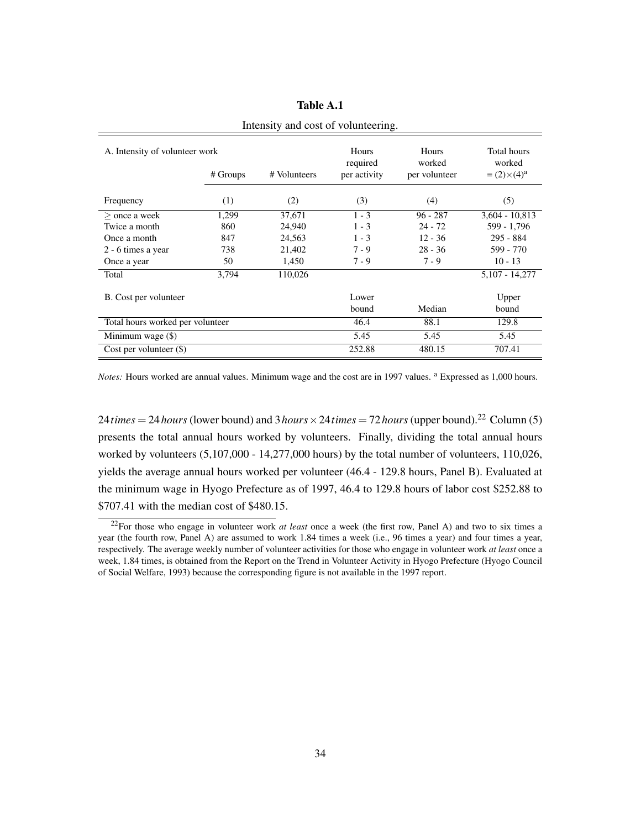| A. Intensity of volunteer work<br># Volunteers<br># Groups |       |         | Hours<br>required<br>per activity | Hours<br>worked<br>per volunteer | Total hours<br>worked<br>$=(2) \times (4)^a$ |
|------------------------------------------------------------|-------|---------|-----------------------------------|----------------------------------|----------------------------------------------|
| Frequency                                                  | (1)   | (2)     | (3)                               | (4)                              | (5)                                          |
| $>$ once a week                                            | 1,299 | 37,671  | $1 - 3$                           | $96 - 287$                       | $3,604 - 10,813$                             |
| Twice a month                                              | 860   | 24,940  | $1 - 3$                           | $24 - 72$                        | 599 - 1,796                                  |
| Once a month                                               | 847   | 24,563  | $1 - 3$                           | $12 - 36$                        | 295 - 884                                    |
| 2 - 6 times a year                                         | 738   | 21,402  | $7 - 9$                           | $28 - 36$                        | 599 - 770                                    |
| Once a year                                                | 50    | 1.450   | $7 - 9$                           | $7 - 9$                          | $10 - 13$                                    |
| Total                                                      | 3.794 | 110,026 |                                   |                                  | 5,107 - 14,277                               |
| B. Cost per volunteer                                      |       |         | Lower<br>bound                    | Median                           | Upper<br>bound                               |
| Total hours worked per volunteer                           |       |         | 46.4                              | 88.1                             | 129.8                                        |
| Minimum wage (\$)                                          |       |         | 5.45                              | 5.45                             | 5.45                                         |
| Cost per volunteer $(\$)$                                  |       |         | 252.88                            | 480.15                           | 707.41                                       |

#### Table A.1

Intensity and cost of volunteering.

*Notes:* Hours worked are annual values. Minimum wage and the cost are in 1997 values. <sup>a</sup> Expressed as 1,000 hours.

24*times* = 24*hours* (lower bound) and 3*hours*  $\times$  24*times* = 72*hours* (upper bound).<sup>22</sup> Column (5) presents the total annual hours worked by volunteers. Finally, dividing the total annual hours worked by volunteers (5,107,000 - 14,277,000 hours) by the total number of volunteers, 110,026, yields the average annual hours worked per volunteer (46.4 - 129.8 hours, Panel B). Evaluated at the minimum wage in Hyogo Prefecture as of 1997, 46.4 to 129.8 hours of labor cost \$252.88 to \$707.41 with the median cost of \$480.15.

<sup>22</sup>For those who engage in volunteer work *at least* once a week (the first row, Panel A) and two to six times a year (the fourth row, Panel A) are assumed to work 1.84 times a week (i.e., 96 times a year) and four times a year, respectively. The average weekly number of volunteer activities for those who engage in volunteer work *at least* once a week, 1.84 times, is obtained from the Report on the Trend in Volunteer Activity in Hyogo Prefecture (Hyogo Council of Social Welfare, 1993) because the corresponding figure is not available in the 1997 report.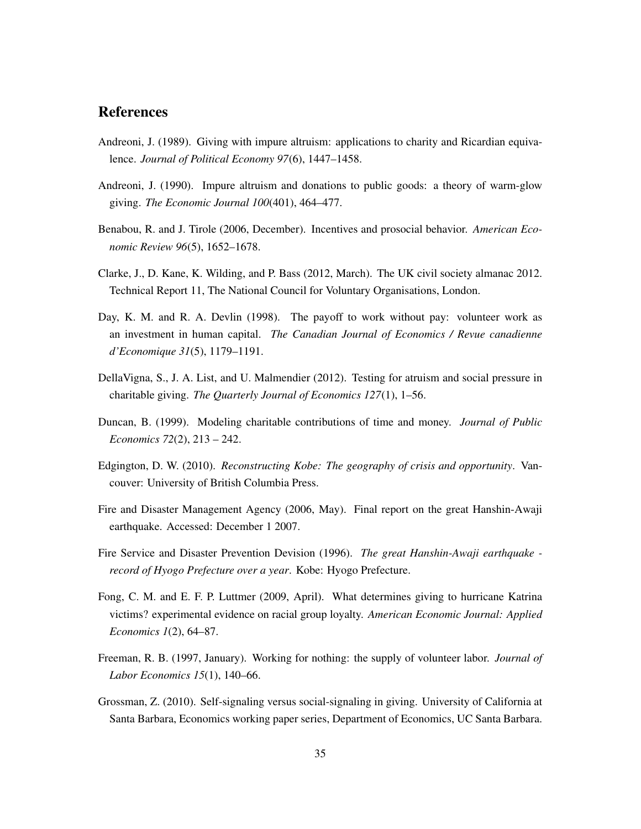#### **References**

- Andreoni, J. (1989). Giving with impure altruism: applications to charity and Ricardian equivalence. *Journal of Political Economy 97*(6), 1447–1458.
- Andreoni, J. (1990). Impure altruism and donations to public goods: a theory of warm-glow giving. *The Economic Journal 100*(401), 464–477.
- Benabou, R. and J. Tirole (2006, December). Incentives and prosocial behavior. *American Economic Review 96*(5), 1652–1678.
- Clarke, J., D. Kane, K. Wilding, and P. Bass (2012, March). The UK civil society almanac 2012. Technical Report 11, The National Council for Voluntary Organisations, London.
- Day, K. M. and R. A. Devlin (1998). The payoff to work without pay: volunteer work as an investment in human capital. *The Canadian Journal of Economics / Revue canadienne d'Economique 31*(5), 1179–1191.
- DellaVigna, S., J. A. List, and U. Malmendier (2012). Testing for atruism and social pressure in charitable giving. *The Quarterly Journal of Economics 127*(1), 1–56.
- Duncan, B. (1999). Modeling charitable contributions of time and money. *Journal of Public Economics 72*(2), 213 – 242.
- Edgington, D. W. (2010). *Reconstructing Kobe: The geography of crisis and opportunity*. Vancouver: University of British Columbia Press.
- Fire and Disaster Management Agency (2006, May). Final report on the great Hanshin-Awaji earthquake. Accessed: December 1 2007.
- Fire Service and Disaster Prevention Devision (1996). *The great Hanshin-Awaji earthquake record of Hyogo Prefecture over a year*. Kobe: Hyogo Prefecture.
- Fong, C. M. and E. F. P. Luttmer (2009, April). What determines giving to hurricane Katrina victims? experimental evidence on racial group loyalty. *American Economic Journal: Applied Economics 1*(2), 64–87.
- Freeman, R. B. (1997, January). Working for nothing: the supply of volunteer labor. *Journal of Labor Economics 15*(1), 140–66.
- Grossman, Z. (2010). Self-signaling versus social-signaling in giving. University of California at Santa Barbara, Economics working paper series, Department of Economics, UC Santa Barbara.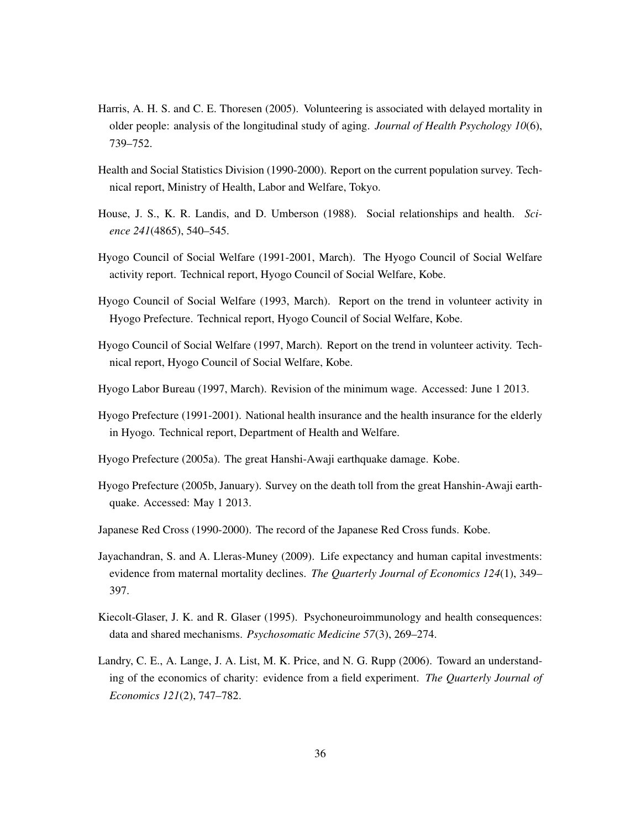- Harris, A. H. S. and C. E. Thoresen (2005). Volunteering is associated with delayed mortality in older people: analysis of the longitudinal study of aging. *Journal of Health Psychology 10*(6), 739–752.
- Health and Social Statistics Division (1990-2000). Report on the current population survey. Technical report, Ministry of Health, Labor and Welfare, Tokyo.
- House, J. S., K. R. Landis, and D. Umberson (1988). Social relationships and health. *Science 241*(4865), 540–545.
- Hyogo Council of Social Welfare (1991-2001, March). The Hyogo Council of Social Welfare activity report. Technical report, Hyogo Council of Social Welfare, Kobe.
- Hyogo Council of Social Welfare (1993, March). Report on the trend in volunteer activity in Hyogo Prefecture. Technical report, Hyogo Council of Social Welfare, Kobe.
- Hyogo Council of Social Welfare (1997, March). Report on the trend in volunteer activity. Technical report, Hyogo Council of Social Welfare, Kobe.
- Hyogo Labor Bureau (1997, March). Revision of the minimum wage. Accessed: June 1 2013.
- Hyogo Prefecture (1991-2001). National health insurance and the health insurance for the elderly in Hyogo. Technical report, Department of Health and Welfare.
- Hyogo Prefecture (2005a). The great Hanshi-Awaji earthquake damage. Kobe.
- Hyogo Prefecture (2005b, January). Survey on the death toll from the great Hanshin-Awaji earthquake. Accessed: May 1 2013.
- Japanese Red Cross (1990-2000). The record of the Japanese Red Cross funds. Kobe.
- Jayachandran, S. and A. Lleras-Muney (2009). Life expectancy and human capital investments: evidence from maternal mortality declines. *The Quarterly Journal of Economics 124*(1), 349– 397.
- Kiecolt-Glaser, J. K. and R. Glaser (1995). Psychoneuroimmunology and health consequences: data and shared mechanisms. *Psychosomatic Medicine 57*(3), 269–274.
- Landry, C. E., A. Lange, J. A. List, M. K. Price, and N. G. Rupp (2006). Toward an understanding of the economics of charity: evidence from a field experiment. *The Quarterly Journal of Economics 121*(2), 747–782.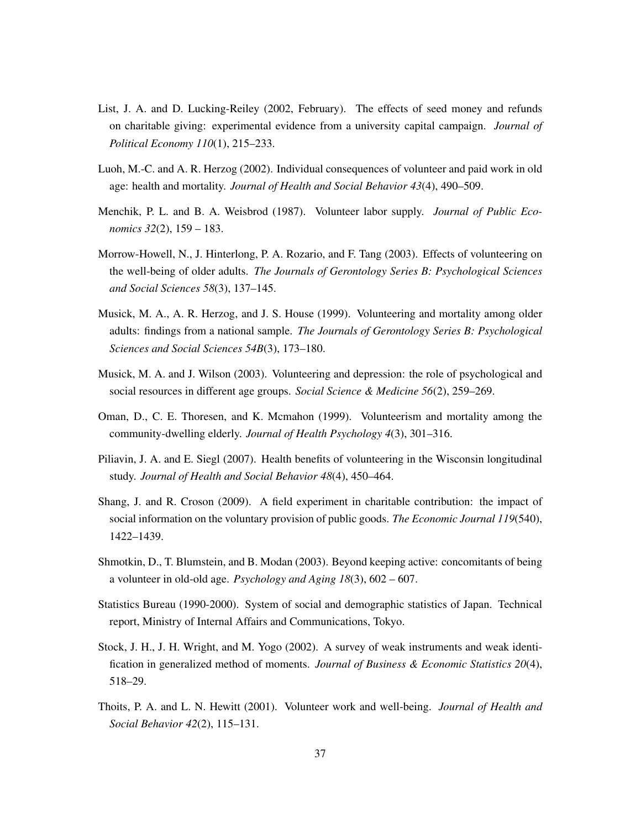- List, J. A. and D. Lucking-Reiley (2002, February). The effects of seed money and refunds on charitable giving: experimental evidence from a university capital campaign. *Journal of Political Economy 110*(1), 215–233.
- Luoh, M.-C. and A. R. Herzog (2002). Individual consequences of volunteer and paid work in old age: health and mortality. *Journal of Health and Social Behavior 43*(4), 490–509.
- Menchik, P. L. and B. A. Weisbrod (1987). Volunteer labor supply. *Journal of Public Economics 32*(2), 159 – 183.
- Morrow-Howell, N., J. Hinterlong, P. A. Rozario, and F. Tang (2003). Effects of volunteering on the well-being of older adults. *The Journals of Gerontology Series B: Psychological Sciences and Social Sciences 58*(3), 137–145.
- Musick, M. A., A. R. Herzog, and J. S. House (1999). Volunteering and mortality among older adults: findings from a national sample. *The Journals of Gerontology Series B: Psychological Sciences and Social Sciences 54B*(3), 173–180.
- Musick, M. A. and J. Wilson (2003). Volunteering and depression: the role of psychological and social resources in different age groups. *Social Science & Medicine 56*(2), 259–269.
- Oman, D., C. E. Thoresen, and K. Mcmahon (1999). Volunteerism and mortality among the community-dwelling elderly. *Journal of Health Psychology 4*(3), 301–316.
- Piliavin, J. A. and E. Siegl (2007). Health benefits of volunteering in the Wisconsin longitudinal study. *Journal of Health and Social Behavior 48*(4), 450–464.
- Shang, J. and R. Croson (2009). A field experiment in charitable contribution: the impact of social information on the voluntary provision of public goods. *The Economic Journal 119*(540), 1422–1439.
- Shmotkin, D., T. Blumstein, and B. Modan (2003). Beyond keeping active: concomitants of being a volunteer in old-old age. *Psychology and Aging 18*(3), 602 – 607.
- Statistics Bureau (1990-2000). System of social and demographic statistics of Japan. Technical report, Ministry of Internal Affairs and Communications, Tokyo.
- Stock, J. H., J. H. Wright, and M. Yogo (2002). A survey of weak instruments and weak identification in generalized method of moments. *Journal of Business & Economic Statistics 20*(4), 518–29.
- Thoits, P. A. and L. N. Hewitt (2001). Volunteer work and well-being. *Journal of Health and Social Behavior 42*(2), 115–131.